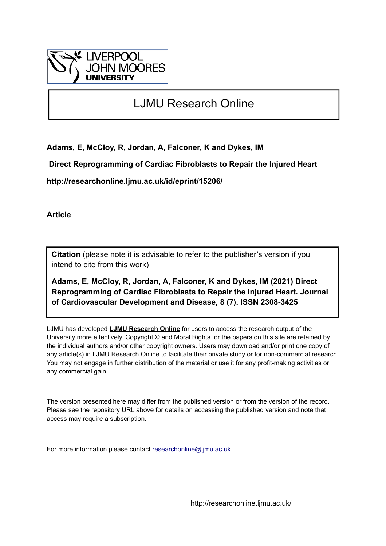

# LJMU Research Online

**Adams, E, McCloy, R, Jordan, A, Falconer, K and Dykes, IM**

 **Direct Reprogramming of Cardiac Fibroblasts to Repair the Injured Heart**

**http://researchonline.ljmu.ac.uk/id/eprint/15206/**

**Article**

**Citation** (please note it is advisable to refer to the publisher's version if you intend to cite from this work)

**Adams, E, McCloy, R, Jordan, A, Falconer, K and Dykes, IM (2021) Direct Reprogramming of Cardiac Fibroblasts to Repair the Injured Heart. Journal of Cardiovascular Development and Disease, 8 (7). ISSN 2308-3425** 

LJMU has developed **[LJMU Research Online](http://researchonline.ljmu.ac.uk/)** for users to access the research output of the University more effectively. Copyright © and Moral Rights for the papers on this site are retained by the individual authors and/or other copyright owners. Users may download and/or print one copy of any article(s) in LJMU Research Online to facilitate their private study or for non-commercial research. You may not engage in further distribution of the material or use it for any profit-making activities or any commercial gain.

The version presented here may differ from the published version or from the version of the record. Please see the repository URL above for details on accessing the published version and note that access may require a subscription.

For more information please contact [researchonline@ljmu.ac.uk](mailto:researchonline@ljmu.ac.uk)

http://researchonline.ljmu.ac.uk/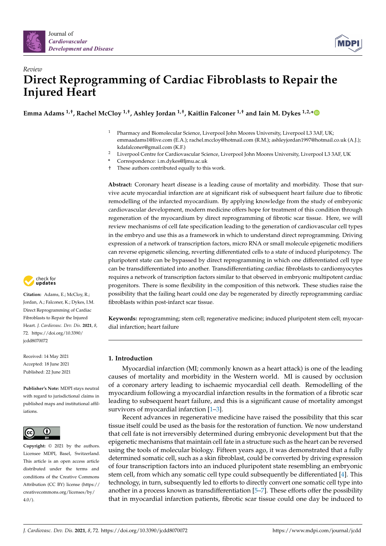



# *Review* **Direct Reprogramming of Cardiac Fibroblasts to Repair the Injured Heart**

**Emma Adams 1,†, Rachel McCloy 1,†, Ashley Jordan 1,†, Kaitlin Falconer 1,† and Iain M. Dykes 1,2,[\\*](https://orcid.org/0000-0002-1030-3721)**

- <sup>1</sup> Pharmacy and Biomolecular Science, Liverpool John Moores University, Liverpool L3 3AF, UK; emmaadams1@live.com (E.A.); rachel.mccloy@hotmail.com (R.M.); ashleyjordan1997@hotmail.co.uk (A.J.); kdafalconer@gmail.com (K.F.)
- <sup>2</sup> Liverpool Centre for Cardiovascular Science, Liverpool John Moores University, Liverpool L3 3AF, UK
- **\*** Correspondence: i.m.dykes@ljmu.ac.uk
- † These authors contributed equally to this work.

**Abstract:** Coronary heart disease is a leading cause of mortality and morbidity. Those that survive acute myocardial infarction are at significant risk of subsequent heart failure due to fibrotic remodelling of the infarcted myocardium. By applying knowledge from the study of embryonic cardiovascular development, modern medicine offers hope for treatment of this condition through regeneration of the myocardium by direct reprogramming of fibrotic scar tissue. Here, we will review mechanisms of cell fate specification leading to the generation of cardiovascular cell types in the embryo and use this as a framework in which to understand direct reprogramming. Driving expression of a network of transcription factors, micro RNA or small molecule epigenetic modifiers can reverse epigenetic silencing, reverting differentiated cells to a state of induced pluripotency. The pluripotent state can be bypassed by direct reprogramming in which one differentiated cell type can be transdifferentiated into another. Transdifferentiating cardiac fibroblasts to cardiomyocytes requires a network of transcription factors similar to that observed in embryonic multipotent cardiac progenitors. There is some flexibility in the composition of this network. These studies raise the possibility that the failing heart could one day be regenerated by directly reprogramming cardiac fibroblasts within post-infarct scar tissue.

**Keywords:** reprogramming; stem cell; regenerative medicine; induced pluripotent stem cell; myocardial infarction; heart failure

# **1. Introduction**

Myocardial infarction (MI; commonly known as a heart attack) is one of the leading causes of mortality and morbidity in the Western world. MI is caused by occlusion of a coronary artery leading to ischaemic myocardial cell death. Remodelling of the myocardium following a myocardial infarction results in the formation of a fibrotic scar leading to subsequent heart failure, and this is a significant cause of mortality amongst survivors of myocardial infarction [\[1–](#page-16-0)[3\]](#page-16-1).

Recent advances in regenerative medicine have raised the possibility that this scar tissue itself could be used as the basis for the restoration of function. We now understand that cell fate is not irreversibly determined during embryonic development but that the epigenetic mechanisms that maintain cell fate in a structure such as the heart can be reversed using the tools of molecular biology. Fifteen years ago, it was demonstrated that a fully determined somatic cell, such as a skin fibroblast, could be converted by driving expression of four transcription factors into an induced pluripotent state resembling an embryonic stem cell, from which any somatic cell type could subsequently be differentiated [\[4\]](#page-16-2). This technology, in turn, subsequently led to efforts to directly convert one somatic cell type into another in a process known as transdifferentiation [\[5–](#page-16-3)[7\]](#page-16-4). These efforts offer the possibility that in myocardial infarction patients, fibrotic scar tissue could one day be induced to



**Citation:** Adams, E.; McCloy, R.; Jordan, A.; Falconer, K.; Dykes, I.M. Direct Reprogramming of Cardiac Fibroblasts to Repair the Injured Heart. *J. Cardiovasc. Dev. Dis.* **2021**, *8*, 72. [https://doi.org/10.3390/](https://doi.org/10.3390/jcdd8070072) [jcdd8070072](https://doi.org/10.3390/jcdd8070072)

Received: 14 May 2021 Accepted: 18 June 2021 Published: 22 June 2021

**Publisher's Note:** MDPI stays neutral with regard to jurisdictional claims in published maps and institutional affiliations.



**Copyright:** © 2021 by the authors. Licensee MDPI, Basel, Switzerland. This article is an open access article distributed under the terms and conditions of the Creative Commons Attribution (CC BY) license (https:/[/](https://creativecommons.org/licenses/by/4.0/) [creativecommons.org/licenses/by/](https://creativecommons.org/licenses/by/4.0/)  $4.0/$ ).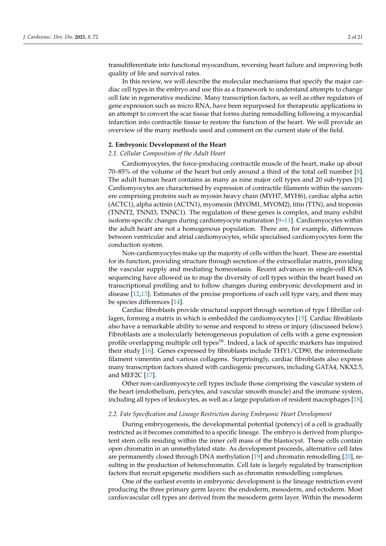transdifferentiate into functional myocardium, reversing heart failure and improving both quality of life and survival rates.

In this review, we will describe the molecular mechanisms that specify the major cardiac cell types in the embryo and use this as a framework to understand attempts to change cell fate in regenerative medicine. Many transcription factors, as well as other regulators of gene expression such as micro RNA, have been repurposed for therapeutic applications in an attempt to convert the scar tissue that forms during remodelling following a myocardial infarction into contractile tissue to restore the function of the heart. We will provide an overview of the many methods used and comment on the current state of the field.

## **2. Embryonic Development of the Heart**

#### *2.1. Cellular Composition of the Adult Heart*

Cardiomyocytes, the force-producing contractile muscle of the heart, make up about 70–85% of the volume of the heart but only around a third of the total cell number [\[8\]](#page-16-5). The adult human heart contains as many as nine major cell types and 20 sub-types [\[8\]](#page-16-5). Cardiomyocytes are characterised by expression of contractile filaments within the sarcomere comprising proteins such as myosin heavy chain (MYH7, MYH6), cardiac alpha actin (ACTC1), alpha actinin (ACTN1), myomesin (MYOM1, MYOM2), titin (TTN), and troponin (TNNT2, TNNI3, TNNC1). The regulation of these genes is complex, and many exhibit isoform-specific changes during cardiomyocyte maturation [\[9–](#page-16-6)[11\]](#page-16-7). Cardiomyocytes within the adult heart are not a homogenous population. There are, for example, differences between ventricular and atrial cardiomyocytes, while specialised cardiomyocytes form the conduction system.

Non-cardiomyocytes make up the majority of cells within the heart. These are essential for its function, providing structure through secretion of the extracellular matrix, providing the vascular supply and mediating homeostasis. Recent advances in single-cell RNA sequencing have allowed us to map the diversity of cell types within the heart based on transcriptional profiling and to follow changes during embryonic development and in disease [\[12](#page-16-8)[,13\]](#page-16-9). Estimates of the precise proportions of each cell type vary, and there may be species differences [\[14\]](#page-16-10).

Cardiac fibroblasts provide structural support through secretion of type I fibrillar collagen, forming a matrix in which is embedded the cardiomyocytes [\[15\]](#page-17-0). Cardiac fibroblasts also have a remarkable ability to sense and respond to stress or injury (discussed below). Fibroblasts are a molecularly heterogeneous population of cells with a gene expression profile overlapping multiple cell types<sup>16</sup>. Indeed, a lack of specific markers has impaired their study [\[16\]](#page-17-1). Genes expressed by fibroblasts include THY1/CD90, the intermediate filament vimentin and various collagens. Surprisingly, cardiac fibroblasts also express many transcription factors shared with cardiogenic precursors, including GATA4, NKX2.5, and MEF2C [\[17\]](#page-17-2).

Other non-cardiomyocyte cell types include those comprising the vascular system of the heart (endothelium, pericytes, and vascular smooth muscle) and the immune system, including all types of leukocytes, as well as a large population of resident macrophages [\[18\]](#page-17-3).

#### *2.2. Fate Specification and Lineage Restriction during Embryonic Heart Development*

During embryogenesis, the developmental potential (potency) of a cell is gradually restricted as it becomes committed to a specific lineage. The embryo is derived from pluripotent stem cells residing within the inner cell mass of the blastocyst. These cells contain open chromatin in an unmethylated state. As development proceeds, alternative cell fates are permanently closed through DNA methylation [\[19\]](#page-17-4) and chromatin remodelling [\[20\]](#page-17-5), resulting in the production of heterochromatin. Cell fate is largely regulated by transcription factors that recruit epigenetic modifiers such as chromatin remodelling complexes.

One of the earliest events in embryonic development is the lineage restriction event producing the three primary germ layers: the endoderm, mesoderm, and ectoderm. Most cardiovascular cell types are derived from the mesoderm germ layer. Within the mesoderm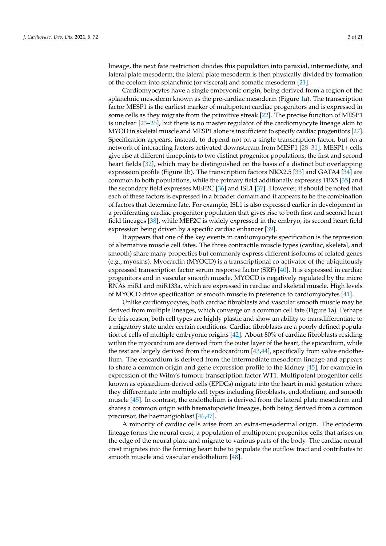lineage, the next fate restriction divides this population into paraxial, intermediate, and lateral plate mesoderm; the lateral plate mesoderm is then physically divided by formation of the coelom into splanchnic (or visceral) and somatic mesoderm [\[21\]](#page-17-6).

Cardiomyocytes have a single embryonic origin, being derived from a region of the splanchnic mesoderm known as the pre-cardiac mesoderm (Figure [1a](#page-4-0)). The transcription factor MESP1 is the earliest marker of multipotent cardiac progenitors and is expressed in some cells as they migrate from the primitive streak [\[22\]](#page-17-7). The precise function of MESP1 is unclear [\[23–](#page-17-8)[26\]](#page-17-9), but there is no master regulator of the cardiomyocyte lineage akin to MYOD in skeletal muscle and MESP1 alone is insufficient to specify cardiac progenitors [\[27\]](#page-17-10). Specification appears, instead, to depend not on a single transcription factor, but on a network of interacting factors activated downstream from MESP1 [\[28](#page-17-11)[–31\]](#page-17-12). MESP1+ cells give rise at different timepoints to two distinct progenitor populations, the first and second heart fields [\[32\]](#page-17-13), which may be distinguished on the basis of a distinct but overlapping expression profile (Figure [1b](#page-4-0)). The transcription factors NKX2.5 [\[33\]](#page-17-14) and GATA4 [\[34\]](#page-17-15) are common to both populations, while the primary field additionally expresses TBX5 [\[35\]](#page-17-16) and the secondary field expresses MEF2C [\[36\]](#page-17-17) and ISL1 [\[37\]](#page-17-18). However, it should be noted that each of these factors is expressed in a broader domain and it appears to be the combination of factors that determine fate. For example, ISL1 is also expressed earlier in development in a proliferating cardiac progenitor population that gives rise to both first and second heart field lineages [\[38\]](#page-17-19), while MEF2C is widely expressed in the embryo, its second heart field expression being driven by a specific cardiac enhancer [\[39\]](#page-17-20).

It appears that one of the key events in cardiomyocyte specification is the repression of alternative muscle cell fates. The three contractile muscle types (cardiac, skeletal, and smooth) share many properties but commonly express different isoforms of related genes (e.g., myosins). Myocardin (MYOCD) is a transcriptional co-activator of the ubiquitously expressed transcription factor serum response factor (SRF) [\[40\]](#page-17-21). It is expressed in cardiac progenitors and in vascular smooth muscle. MYOCD is negatively regulated by the micro RNAs miR1 and miR133a, which are expressed in cardiac and skeletal muscle. High levels of MYOCD drive specification of smooth muscle in preference to cardiomyocytes [\[41\]](#page-17-22).

Unlike cardiomyocytes, both cardiac fibroblasts and vascular smooth muscle may be derived from multiple lineages, which converge on a common cell fate (Figure [1a](#page-4-0)). Perhaps for this reason, both cell types are highly plastic and show an ability to transdifferentiate to a migratory state under certain conditions. Cardiac fibroblasts are a poorly defined population of cells of multiple embryonic origins [\[42\]](#page-18-0). About 80% of cardiac fibroblasts residing within the myocardium are derived from the outer layer of the heart, the epicardium, while the rest are largely derived from the endocardium [\[43,](#page-18-1)[44\]](#page-18-2), specifically from valve endothelium. The epicardium is derived from the intermediate mesoderm lineage and appears to share a common origin and gene expression profile to the kidney [\[45\]](#page-18-3), for example in expression of the Wilm's tumour transcription factor WT1. Multipotent progenitor cells known as epicardium-derived cells (EPDCs) migrate into the heart in mid gestation where they differentiate into multiple cell types including fibroblasts, endothelium, and smooth muscle [\[45\]](#page-18-3). In contrast, the endothelium is derived from the lateral plate mesoderm and shares a common origin with haematopoietic lineages, both being derived from a common precursor, the haemangioblast [\[46,](#page-18-4)[47\]](#page-18-5).

A minority of cardiac cells arise from an extra-mesodermal origin. The ectoderm lineage forms the neural crest, a population of multipotent progenitor cells that arises on the edge of the neural plate and migrate to various parts of the body. The cardiac neural crest migrates into the forming heart tube to populate the outflow tract and contributes to smooth muscle and vascular endothelium [\[48\]](#page-18-6).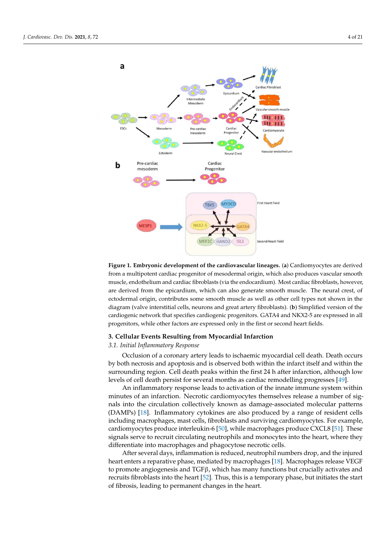<span id="page-4-0"></span>

ond heart field expression being driven by a specific cardiac enhancer [39].

**Figure 1. Embryonic development of the cardiovascular lineages.** (**a**) Cardiomyocytes are derived **Figure 1. Embryonic development of the cardiovascular lineages.** (**a**) Cardiomyocytes are derived from a multipotent cardiac progenitor of mesodermal origin, which also produces vascular smooth from a multipotent cardiac progenitor of mesodermal origin, which also produces vascular smooth muscle, endothelium and cardiac fibroblasts (via the endocardium). Most cardiac fibroblasts, however, are derived from the epicardium, which can also generate smooth muscle. The neural crest, of ectodermal origin, contributes some smooth muscle as well as other cell types not shown in the diagram (valve interstitial cells, neurons and great artery fibroblasts). (**b**) Simplified version of the cardiogenic network that specifies cardiogenic progenitors. GATA4 and NKX2-5 are expressed in all progenitors, while other factors are expressed only in the first or second heart fields.

# **3. Cellular Events Resulting from Myocardial Infarction**

#### *3.1. Initial Inflammatory Response*

Occlusion of a coronary artery leads to ischaemic myocardial cell death. Death occurs by both necrosis and apoptosis and is observed both within the infarct itself and within the surrounding region. Cell death peaks within the first 24 h after infarction, although low levels of cell death persist for several months as cardiac remodelling progresses [\[49\]](#page-18-7).

An inflammatory response leads to activation of the innate immune system within minutes of an infarction. Necrotic cardiomyocytes themselves release a number of signals into the circulation collectively known as damage-associated molecular patterns (DAMPs) [\[18\]](#page-17-3). Inflammatory cytokines are also produced by a range of resident cells including macrophages, mast cells, fibroblasts and surviving cardiomyocytes. For example, cardiomyocytes produce interleukin-6 [\[50\]](#page-18-8), while macrophages produce CXCL8 [\[51\]](#page-18-9). These signals serve to recruit circulating neutrophils and monocytes into the heart, where they differentiate into macrophages and phagocytose necrotic cells.

After several days, inflammation is reduced, neutrophil numbers drop, and the injured heart enters a reparative phase, mediated by macrophages [\[18\]](#page-17-3). Macrophages release VEGF to promote angiogenesis and  $TGF\beta$ , which has many functions but crucially activates and recruits fibroblasts into the heart [\[52\]](#page-18-10). Thus, this is a temporary phase, but initiates the start of fibrosis, leading to permanent changes in the heart.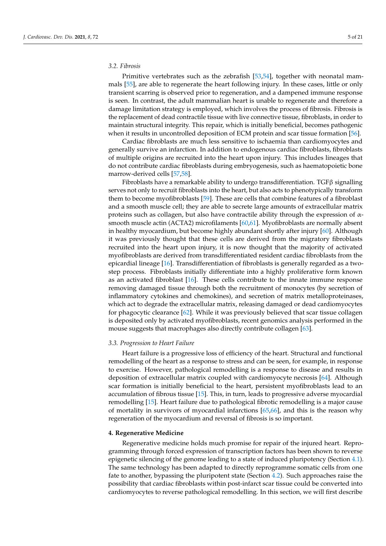# <span id="page-5-0"></span>*3.2. Fibrosis*

Primitive vertebrates such as the zebrafish [\[53,](#page-18-11)[54\]](#page-18-12), together with neonatal mammals [\[55\]](#page-18-13), are able to regenerate the heart following injury. In these cases, little or only transient scarring is observed prior to regeneration, and a dampened immune response is seen. In contrast, the adult mammalian heart is unable to regenerate and therefore a damage limitation strategy is employed, which involves the process of fibrosis. Fibrosis is the replacement of dead contractile tissue with live connective tissue, fibroblasts, in order to maintain structural integrity. This repair, which is initially beneficial, becomes pathogenic when it results in uncontrolled deposition of ECM protein and scar tissue formation [\[56\]](#page-18-14).

Cardiac fibroblasts are much less sensitive to ischaemia than cardiomyocytes and generally survive an infarction. In addition to endogenous cardiac fibroblasts, fibroblasts of multiple origins are recruited into the heart upon injury. This includes lineages that do not contribute cardiac fibroblasts during embryogenesis, such as haematopoietic bone marrow-derived cells [\[57](#page-18-15)[,58\]](#page-18-16).

Fibroblasts have a remarkable ability to undergo transdifferentiation. TGFβ signalling serves not only to recruit fibroblasts into the heart, but also acts to phenotypically transform them to become myofibroblasts [\[59\]](#page-18-17). These are cells that combine features of a fibroblast and a smooth muscle cell; they are able to secrete large amounts of extracellular matrix proteins such as collagen, but also have contractile ability through the expression of  $\alpha$ smooth muscle actin (ACTA2) microfilaments [\[60](#page-18-18)[,61\]](#page-18-19). Myofibroblasts are normally absent in healthy myocardium, but become highly abundant shortly after injury [\[60\]](#page-18-18). Although it was previously thought that these cells are derived from the migratory fibroblasts recruited into the heart upon injury, it is now thought that the majority of activated myofibroblasts are derived from transdifferentiated resident cardiac fibroblasts from the epicardial lineage [\[16\]](#page-17-1). Transdifferentiation of fibroblasts is generally regarded as a twostep process. Fibroblasts initially differentiate into a highly proliferative form known as an activated fibroblast [\[16\]](#page-17-1). These cells contribute to the innate immune response removing damaged tissue through both the recruitment of monocytes (by secretion of inflammatory cytokines and chemokines), and secretion of matrix metalloproteinases, which act to degrade the extracellular matrix, releasing damaged or dead cardiomyocytes for phagocytic clearance [\[62\]](#page-18-20). While it was previously believed that scar tissue collagen is deposited only by activated myofibroblasts, recent genomics analysis performed in the mouse suggests that macrophages also directly contribute collagen [\[63\]](#page-18-21).

#### *3.3. Progression to Heart Failure*

Heart failure is a progressive loss of efficiency of the heart. Structural and functional remodelling of the heart as a response to stress and can be seen, for example, in response to exercise. However, pathological remodelling is a response to disease and results in deposition of extracellular matrix coupled with cardiomyocyte necrosis [\[64\]](#page-18-22). Although scar formation is initially beneficial to the heart, persistent myofibroblasts lead to an accumulation of fibrous tissue [\[15\]](#page-17-0). This, in turn, leads to progressive adverse myocardial remodelling [\[15\]](#page-17-0). Heart failure due to pathological fibrotic remodelling is a major cause of mortality in survivors of myocardial infarctions [\[65,](#page-18-23)[66\]](#page-18-24), and this is the reason why regeneration of the myocardium and reversal of fibrosis is so important.

#### **4. Regenerative Medicine**

Regenerative medicine holds much promise for repair of the injured heart. Reprogramming through forced expression of transcription factors has been shown to reverse epigenetic silencing of the genome leading to a state of induced pluripotency (Section [4.1\)](#page-6-0). The same technology has been adapted to directly reprogramme somatic cells from one fate to another, bypassing the pluripotent state (Section [4.2\)](#page-6-1). Such approaches raise the possibility that cardiac fibroblasts within post-infarct scar tissue could be converted into cardiomyocytes to reverse pathological remodelling. In this section, we will first describe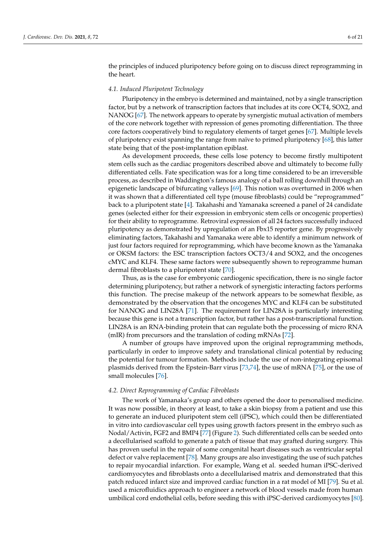the principles of induced pluripotency before going on to discuss direct reprogramming in the heart.

### <span id="page-6-0"></span>*4.1. Induced Pluripotent Technology*

Pluripotency in the embryo is determined and maintained, not by a single transcription factor, but by a network of transcription factors that includes at its core OCT4, SOX2, and NANOG [\[67\]](#page-18-25). The network appears to operate by synergistic mutual activation of members of the core network together with repression of genes promoting differentiation. The three core factors cooperatively bind to regulatory elements of target genes [\[67\]](#page-18-25). Multiple levels of pluripotency exist spanning the range from naïve to primed pluripotency [\[68\]](#page-18-26), this latter state being that of the post-implantation epiblast.

As development proceeds, these cells lose potency to become firstly multipotent stem cells such as the cardiac progenitors described above and ultimately to become fully differentiated cells. Fate specification was for a long time considered to be an irreversible process, as described in Waddington's famous analogy of a ball rolling downhill through an epigenetic landscape of bifurcating valleys [\[69\]](#page-18-27). This notion was overturned in 2006 when it was shown that a differentiated cell type (mouse fibroblasts) could be "reprogrammed" back to a pluripotent state [\[4\]](#page-16-2). Takahashi and Yamanaka screened a panel of 24 candidate genes (selected either for their expression in embryonic stem cells or oncogenic properties) for their ability to reprogramme. Retroviral expression of all 24 factors successfully induced pluripotency as demonstrated by upregulation of an Fbx15 reporter gene. By progressively eliminating factors, Takahashi and Yamanaka were able to identify a minimum network of just four factors required for reprogramming, which have become known as the Yamanaka or OKSM factors: the ESC transcription factors OCT3/4 and SOX2, and the oncogenes cMYC and KLF4. These same factors were subsequently shown to reprogramme human dermal fibroblasts to a pluripotent state [\[70\]](#page-18-28).

Thus, as is the case for embryonic cardiogenic specification, there is no single factor determining pluripotency, but rather a network of synergistic interacting factors performs this function. The precise makeup of the network appears to be somewhat flexible, as demonstrated by the observation that the oncogenes MYC and KLF4 can be substituted for NANOG and LIN28A [\[71\]](#page-18-29). The requirement for LIN28A is particularly interesting because this gene is not a transcription factor, but rather has a post-transcriptional function. LIN28A is an RNA-binding protein that can regulate both the processing of micro RNA (mIR) from precursors and the translation of coding mRNAs [\[72\]](#page-19-0).

A number of groups have improved upon the original reprogramming methods, particularly in order to improve safety and translational clinical potential by reducing the potential for tumour formation. Methods include the use of non-integrating episomal plasmids derived from the Epstein-Barr virus [\[73,](#page-19-1)[74\]](#page-19-2), the use of mRNA [\[75\]](#page-19-3), or the use of small molecules [\[76\]](#page-19-4).

#### <span id="page-6-1"></span>*4.2. Direct Reprogramming of Cardiac Fibroblasts*

The work of Yamanaka's group and others opened the door to personalised medicine. It was now possible, in theory at least, to take a skin biopsy from a patient and use this to generate an induced pluripotent stem cell (iPSC), which could then be differentiated in vitro into cardiovascular cell types using growth factors present in the embryo such as Nodal/Activin, FGF2 and BMP4 [\[77\]](#page-19-5) (Figure [2\)](#page-7-0). Such differentiated cells can be seeded onto a decellularised scaffold to generate a patch of tissue that may grafted during surgery. This has proven useful in the repair of some congenital heart diseases such as ventricular septal defect or valve replacement [\[78\]](#page-19-6). Many groups are also investigating the use of such patches to repair myocardial infarction. For example, Wang et al. seeded human iPSC-derived cardiomyocytes and fibroblasts onto a decellularised matrix and demonstrated that this patch reduced infarct size and improved cardiac function in a rat model of MI [\[79\]](#page-19-7). Su et al. used a microfluidics approach to engineer a network of blood vessels made from human umbilical cord endothelial cells, before seeding this with iPSC-derived cardiomyocytes [\[80\]](#page-19-8).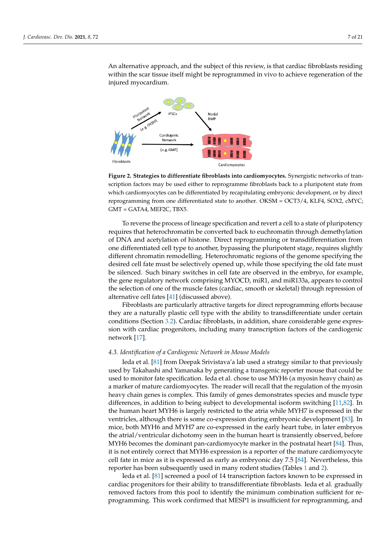An alternative approach, and the subject of this review, is that cardiac fibroblasts residing within the scar tissue itself might be reprogrammed in vivo to achieve regeneration of the injured myocardium.

<span id="page-7-0"></span>

**Figure 2. Strategies to differentiate fibroblasts into cardiomyocytes.** Synergistic networks of tran-**Figure 2. Strategies to differentiate fibroblasts into cardiomyocytes.** Synergistic networks of transcription factors may be used either to reprogramme fibroblasts back to a pluripotent state from scription factors may be used either to reprogramme fibroblasts back to a pluripotent state from which cardiomyocytes can be differentiated by recapitulating embryonic development, or by direct which cardiomyocytes can be differentiated by recapitulating embryonic development, or by direct reprogramming from one differentiated state to another. OKSM = OCT3/4, KLF4, SOX2, cMYC; GMT = GATA4, MEF2C, TBX5. GMT = GATA4, MEF2C, TBX5.

To reverse the process of lineage specification and revert a cell to a state of pluripotency requires that heterochromatin be converted back to euchromatin through demethylation of DNA and acetylation of histone. Direct reprogramming or transdifferentiation from one differentiated cell type to another, bypassing the pluripotent stage, requires slightly different chromatin remodelling. Heterochromatic regions of the genome specifying the desired cell fate must be selectively opened up, while those specifying the old fate must be silenced. Such binary switches in cell fate are observed in the embryo, for example, the gene regulatory network comprising MYOCD, miR1, and miR133a, appears to control the selection of one of the muscle fates (cardiac, smooth or skeletal) through repression of alternative cell fates  $[41]$  (discussed above).

Fibroblasts are particularly attractive targets for direct reprogramming efforts because they are a naturally plastic cell type with the ability to transdifferentiate under certain conditions (Section [3.2\)](#page-5-0). Cardiac fibroblasts, in addition, share considerable gene expression with cardiac progenitors, including many transcription factors of the cardiogenic network [17]. network [\[17\]](#page-17-2).

# *4.3. Identification of a Cardiogenic Network in Mouse Models 4.3. Identification of a Cardiogenic Network in Mouse Models*

Ieda et al*.* [81] from Deepak Srivistava'a lab used a strategy similar to that previously Ieda et al. [\[81\]](#page-19-9) from Deepak Srivistava'a lab used a strategy similar to that previously used by Takahashi and Yamanaka by generating a transgenic reporter mouse that could used by Takahashi and Yamanaka by generating a transgenic reporter mouse that could be used to monitor fate specification. Ieda et al. chose to use MYH6 ( $\alpha$  myosin heavy chain) as determinate cardiomyocytes. The reader will recall that the regulation of the hybrah heavy chain genes is complex. This family of genes demonstrates species and muscle type neavy chain genes is complex. This family of genes demonstrates species and muscle type differences, in addition to being subject to developmental isoform switching [\[11](#page-16-7)[,82\]](#page-19-10). In the human heart MYH6 is largely restricted to the atria while MYH7 is expressed in the ventricles, although there is some co-expression during embryonic development [\[83\]](#page-19-11). In mice, both MYH6 and MYH7 are co-expressed in the early heart tube, in later embryos the atrial/ventricular dichotomy seen in the human heart is transiently observed, before MYH6 becomes the dominant pan-cardiomyocyte marker in the postnatal heart [\[84\]](#page-19-12). Thus, it is not entirely correct that MYH6 expression is a reporter of the mature cardiomyocyte cell fate in mice as it is expressed as early as embryonic day 7.5 [\[84\]](#page-19-12). Nevertheless, this a marker of mature cardiomyocytes. The reader will recall that the regulation of the myosin reporter has been subsequently used in many rodent studies (Tables [1](#page-9-0) and [2\)](#page-12-0).

Ieda et al. [\[81\]](#page-19-9) screened a pool of 14 transcription factors known to be expressed in cardiac progenitors for their ability to transdifferentiate fibroblasts. Ieda et al. gradually removed factors from this pool to identify the minimum combination sufficient for reprogramming. This work confirmed that MESP1 is insufficient for reprogramming, and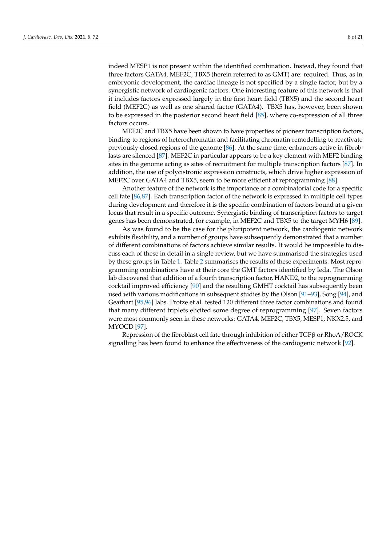indeed MESP1 is not present within the identified combination. Instead, they found that three factors GATA4, MEF2C, TBX5 (herein referred to as GMT) are: required. Thus, as in embryonic development, the cardiac lineage is not specified by a single factor, but by a synergistic network of cardiogenic factors. One interesting feature of this network is that it includes factors expressed largely in the first heart field (TBX5) and the second heart field (MEF2C) as well as one shared factor (GATA4). TBX5 has, however, been shown to be expressed in the posterior second heart field [\[85\]](#page-19-13), where co-expression of all three factors occurs.

MEF2C and TBX5 have been shown to have properties of pioneer transcription factors, binding to regions of heterochromatin and facilitating chromatin remodelling to reactivate previously closed regions of the genome [\[86\]](#page-19-14). At the same time, enhancers active in fibroblasts are silenced [\[87\]](#page-19-15). MEF2C in particular appears to be a key element with MEF2 binding sites in the genome acting as sites of recruitment for multiple transcription factors [\[87\]](#page-19-15). In addition, the use of polycistronic expression constructs, which drive higher expression of MEF2C over GATA4 and TBX5, seem to be more efficient at reprogramming [\[88\]](#page-19-16).

Another feature of the network is the importance of a combinatorial code for a specific cell fate [\[86](#page-19-14)[,87\]](#page-19-15). Each transcription factor of the network is expressed in multiple cell types during development and therefore it is the specific combination of factors bound at a given locus that result in a specific outcome. Synergistic binding of transcription factors to target genes has been demonstrated, for example, in MEF2C and TBX5 to the target MYH6 [\[89\]](#page-19-17).

As was found to be the case for the pluripotent network, the cardiogenic network exhibits flexibility, and a number of groups have subsequently demonstrated that a number of different combinations of factors achieve similar results. It would be impossible to discuss each of these in detail in a single review, but we have summarised the strategies used by these groups in Table [1.](#page-9-0) Table [2](#page-12-0) summarises the results of these experiments. Most reprogramming combinations have at their core the GMT factors identified by Ieda. The Olson lab discovered that addition of a fourth transcription factor, HAND2, to the reprogramming cocktail improved efficiency [\[90\]](#page-19-18) and the resulting GMHT cocktail has subsequently been used with various modifications in subsequent studies by the Olson [\[91](#page-19-19)[–93\]](#page-19-20), Song [\[94\]](#page-19-21), and Gearhart [\[95](#page-19-22)[,96\]](#page-20-0) labs. Protze et al. tested 120 different three factor combinations and found that many different triplets elicited some degree of reprogramming [\[97\]](#page-20-1). Seven factors were most commonly seen in these networks: GATA4, MEF2C, TBX5, MESP1, NKX2.5, and MYOCD [\[97\]](#page-20-1).

Repression of the fibroblast cell fate through inhibition of either TGFβ or RhoA/ROCK signalling has been found to enhance the effectiveness of the cardiogenic network [\[92\]](#page-19-23).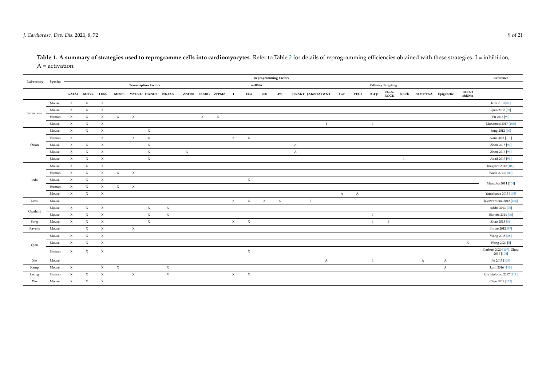<span id="page-9-1"></span>Table 1. A summary of strategies used to reprogramme cells into cardiomyocytes. Refer to Table [2](#page-12-1) for details of reprogramming efficiencies obtained with these strategies. I = inhibition, A = activation.

<span id="page-9-0"></span>

|            |         | <b>Reprogramming Factors</b> |                     |                     |                     |                     |                              |                     |        |                           |                     |                     | Reference           |                     |                     |              |                     |              |              |              |                      |             |              |                     |                               |                                        |
|------------|---------|------------------------------|---------------------|---------------------|---------------------|---------------------|------------------------------|---------------------|--------|---------------------------|---------------------|---------------------|---------------------|---------------------|---------------------|--------------|---------------------|--------------|--------------|--------------|----------------------|-------------|--------------|---------------------|-------------------------------|----------------------------------------|
| Laboratory | Species |                              |                     |                     |                     |                     | <b>Transcription Factors</b> |                     |        |                           |                     |                     | miRNA               |                     |                     |              |                     |              |              |              | Pathway Targeting    |             |              |                     |                               |                                        |
|            |         |                              | GATA4 MEF2C TBX5    |                     |                     |                     | MESP1 MYOCD HAND2 NKX2-5     |                     |        |                           | ZNF281 ESRRG ZFPM2  |                     | 133a                | 208                 | 499                 |              | PI3/AKT JAK/STATWNT | $_{\rm FGF}$ | <b>VEGF</b>  | $TGF \beta$  | RhoA-<br><b>ROCK</b> | Notch       |              | cAMP/PKA Epigenetic | <b>BECN1</b><br>${\rm shRNA}$ |                                        |
| Srivistava | Mouse   | $\chi$                       | $\boldsymbol{\chi}$ | $\boldsymbol{\chi}$ |                     |                     |                              |                     |        |                           |                     |                     |                     |                     |                     |              |                     |              |              |              |                      |             |              |                     |                               | Ieda 2010 [81]                         |
|            | Mouse   | $\chi$                       | $\boldsymbol{\chi}$ | $\boldsymbol{\chi}$ |                     |                     |                              |                     |        |                           |                     |                     |                     |                     |                     |              |                     |              |              |              |                      |             |              |                     |                               | Qian 2102 [98]                         |
|            | Human   | $\chi$                       | $\boldsymbol{\chi}$ | $\boldsymbol{\chi}$ | $\chi$              | $\mathbf{x}$        |                              |                     |        | $\boldsymbol{\mathsf{X}}$ | $\boldsymbol{\chi}$ |                     |                     |                     |                     |              |                     |              |              |              |                      |             |              |                     |                               | Fu 2013 [99]                           |
|            | Mouse   | $\boldsymbol{\chi}$          | $\boldsymbol{\chi}$ | $\boldsymbol{\chi}$ |                     |                     |                              |                     |        |                           |                     |                     |                     |                     |                     |              | $\mathbf I$         |              |              |              |                      |             |              |                     |                               | Mohamed 2017 [100]                     |
|            | Mouse   | $\chi$                       | $\boldsymbol{\chi}$ | $\boldsymbol{\chi}$ |                     |                     | $\boldsymbol{\chi}$          |                     |        |                           |                     |                     |                     |                     |                     |              |                     |              |              |              |                      |             |              |                     |                               | Song 2012 [90]                         |
|            | Human   | $\chi$                       |                     | $\boldsymbol{\chi}$ |                     | $\mathbf{x}$        | $\boldsymbol{\chi}$          |                     |        |                           |                     | $\boldsymbol{\chi}$ | $\boldsymbol{\chi}$ |                     |                     |              |                     |              |              |              |                      |             |              |                     |                               | Nam 2013 [101]                         |
| Olson      | Mouse   | $\chi$                       | $\boldsymbol{\chi}$ | $\mathbf x$         |                     |                     | $\boldsymbol{\chi}$          |                     |        |                           |                     |                     |                     |                     |                     | $\mathbf{A}$ |                     |              |              |              |                      |             |              |                     |                               | Zhou 2015 [92]                         |
|            | Mouse   | $\boldsymbol{\chi}$          | $\boldsymbol{\chi}$ | $\chi$              |                     |                     | $\boldsymbol{\chi}$          |                     | $\chi$ |                           |                     |                     |                     |                     |                     | A            |                     |              |              |              |                      |             |              |                     |                               | Zhou 2017 [93]                         |
|            | Mouse   | $\chi$                       | $\boldsymbol{\chi}$ | $\boldsymbol{\chi}$ |                     |                     | $\boldsymbol{\chi}$          |                     |        |                           |                     |                     |                     |                     |                     |              |                     |              |              |              |                      | $\mathbf I$ |              |                     |                               | Abad 2017 [91]                         |
|            | Mouse   | $\chi$                       | $\boldsymbol{\chi}$ | $\boldsymbol{\chi}$ |                     |                     |                              |                     |        |                           |                     |                     |                     |                     |                     |              |                     |              |              |              |                      |             |              |                     |                               | Inagawa 2012 [102]                     |
|            | Human   | $\boldsymbol{\chi}$          | $\boldsymbol{\chi}$ | $\boldsymbol{\chi}$ | $\mathbf x$         | $\boldsymbol{\chi}$ |                              |                     |        |                           |                     |                     |                     |                     |                     |              |                     |              |              |              |                      |             |              |                     |                               | Wada 2013 [103]                        |
| Ieda       | Mouse   | $\boldsymbol{\chi}$          | $\boldsymbol{\chi}$ | $\boldsymbol{\chi}$ |                     |                     |                              |                     |        |                           |                     |                     | $\boldsymbol{\chi}$ |                     |                     |              |                     |              |              |              |                      |             |              |                     |                               |                                        |
|            | Human   | $\boldsymbol{\chi}$          | $\boldsymbol{\chi}$ | $\boldsymbol{\chi}$ | $\boldsymbol{\chi}$ | $\boldsymbol{\chi}$ |                              |                     |        |                           |                     |                     |                     |                     |                     |              |                     |              |              |              |                      |             |              |                     | Muraoka 2014 [104]            |                                        |
|            | Mouse   | $\mathbf{x}$                 | $\boldsymbol{\chi}$ | $\boldsymbol{\chi}$ |                     |                     |                              |                     |        |                           |                     |                     |                     |                     |                     |              |                     | $\mathbf{A}$ | $\mathbf{A}$ |              |                      |             |              |                     |                               | Yamakawa 2015 [105]                    |
| Dzau       | Mouse   |                              |                     |                     |                     |                     |                              |                     |        |                           |                     | $\mathbf{x}$        | $\boldsymbol{\chi}$ | $\boldsymbol{\chi}$ | $\boldsymbol{\chi}$ |              | $\mathbf{I}$        |              |              |              |                      |             |              |                     |                               | Jayawardena 2012 [106]                 |
|            | Mouse   | $\mathbf{x}$                 | $\boldsymbol{\chi}$ | $\boldsymbol{\chi}$ |                     |                     | $\boldsymbol{\chi}$          | $\mathbf x$         |        |                           |                     |                     |                     |                     |                     |              |                     |              |              |              |                      |             |              |                     |                               | Addis 2013 [95]                        |
| Gearhart   | Mouse   | $\mathbf{x}$                 | $\boldsymbol{\chi}$ | $\boldsymbol{\chi}$ |                     |                     | $\boldsymbol{\chi}$          | $\boldsymbol{\chi}$ |        |                           |                     |                     |                     |                     |                     |              |                     |              |              |              |                      |             |              |                     |                               | Ifkovits 2014 [96]                     |
| Song       | Mouse   | $\boldsymbol{\chi}$          | $\boldsymbol{\chi}$ | $\chi$              |                     |                     | $\mathbf x$                  |                     |        |                           |                     | $\boldsymbol{\chi}$ | $\boldsymbol{\chi}$ |                     |                     |              |                     |              |              | $\mathbf{I}$ | $\mathbf I$          |             |              |                     |                               | Zhao 2015 [94]                         |
| Ravens     | Mouse   |                              | $\boldsymbol{\chi}$ | $\chi$              |                     | $\boldsymbol{\chi}$ |                              |                     |        |                           |                     |                     |                     |                     |                     |              |                     |              |              |              |                      |             |              |                     |                               | Protze 2012 [97]                       |
|            | Mouse   | $\chi$                       | $\boldsymbol{\chi}$ | $\boldsymbol{\chi}$ |                     |                     |                              |                     |        |                           |                     |                     |                     |                     |                     |              |                     |              |              |              |                      |             |              |                     |                               | Wang 2015 [88]                         |
| Qian       | Mouse   | $\boldsymbol{\chi}$          | $\boldsymbol{\chi}$ | $\boldsymbol{\chi}$ |                     |                     |                              |                     |        |                           |                     |                     |                     |                     |                     |              |                     |              |              |              |                      |             |              |                     | $\boldsymbol{\mathsf{X}}$     | Wang 2020 [5]                          |
|            | Human   | $\boldsymbol{\chi}$          | $\boldsymbol{\chi}$ | $\boldsymbol{\chi}$ |                     |                     |                              |                     |        |                           |                     |                     | $\chi$              |                     |                     |              |                     |              |              |              |                      |             |              |                     |                               | Garbutt 2020 [107], Zhou<br>2019 [108] |
| Xie        | Mouse   |                              |                     |                     |                     |                     |                              |                     |        |                           |                     |                     |                     |                     |                     |              | $\mathbf{A}$        |              |              |              |                      |             | $\mathbf{A}$ | $\mathbf{A}$        |                               | Fu 2015 [109]                          |
| Kamp       | Mouse   | $\mathbf X$                  |                     | $\chi$              | $\chi$              |                     |                              | $\chi$              |        |                           |                     |                     |                     |                     |                     |              |                     |              |              |              |                      |             |              | A                   |                               | Lalit 2016 [110]                       |
| Leong      | Human   | $\boldsymbol{\chi}$          | $\boldsymbol{\chi}$ | $\boldsymbol{\chi}$ |                     | $\boldsymbol{\chi}$ |                              | $\boldsymbol{\chi}$ |        |                           |                     | $\chi$              | $\boldsymbol{\chi}$ |                     |                     |              |                     |              |              |              |                      |             |              |                     |                               | Christoforou 2017 [111]                |
| Wu         | Mouse   | $\boldsymbol{\chi}$          | $\chi$              | $\boldsymbol{\chi}$ |                     |                     |                              |                     |        |                           |                     |                     |                     |                     |                     |              |                     |              |              |              |                      |             |              |                     |                               | Chen 2012 [112]                        |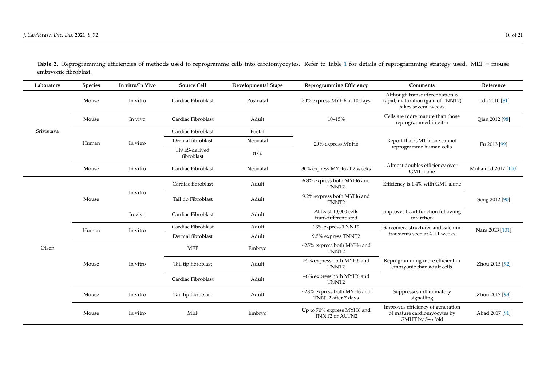| Laboratory | <b>Species</b> | In vitro/In Vivo | <b>Source Cell</b>          | <b>Developmental Stage</b> | <b>Reprogramming Efficiency</b>                  | <b>Comments</b>                                                                              | Reference          |  |
|------------|----------------|------------------|-----------------------------|----------------------------|--------------------------------------------------|----------------------------------------------------------------------------------------------|--------------------|--|
|            | Mouse          | In vitro         | Cardiac Fibroblast          | Postnatal                  | 20% express MYH6 at 10 days                      | Although transdifferentiation is<br>rapid, maturation (gain of TNNT2)<br>takes several weeks | Ieda 2010 [81]     |  |
|            | Mouse          | In vivo          | Cardiac Fibroblast          | Adult                      | $10 - 15%$                                       | Cells are more mature than those<br>reprogrammed in vitro                                    | Qian 2012 [98]     |  |
| Srivistava |                |                  | Cardiac Fibroblast          | Foetal                     |                                                  |                                                                                              |                    |  |
|            | Human          | In vitro         | Dermal fibroblast           | Neonatal                   | 20% express MYH6                                 | Report that GMT alone cannot                                                                 | Fu 2013 [99]       |  |
|            |                |                  | H9 ES-derived<br>fibroblast | n/a                        |                                                  | reprogramme human cells.                                                                     |                    |  |
|            | Mouse          | In vitro         | Cardiac Fibroblast          | Neonatal                   | 30% express MYH6 at 2 weeks                      | Almost doubles efficiency over<br>GMT alone                                                  | Mohamed 2017 [100] |  |
|            |                |                  | Cardiac fibroblast          | Adult                      | 6.8% express both MYH6 and<br>TNNT <sub>2</sub>  | Efficiency is 1.4% with GMT alone                                                            |                    |  |
|            | Mouse          | In vitro         | Tail tip Fibroblast         | Adult                      | 9.2% express both MYH6 and<br>TNNT <sub>2</sub>  |                                                                                              | Song 2012 [90]     |  |
|            |                | In vivo          | Cardiac Fibroblast          | Adult                      | At least 10,000 cells<br>transdifferentiated     | Improves heart function following<br>infarction                                              |                    |  |
|            | Human          | In vitro         | Cardiac Fibroblast          | Adult                      | 13% express TNNT2                                | Sarcomere structures and calcium                                                             | Nam 2013 [101]     |  |
|            |                |                  | Dermal fibroblast           | Adult                      | 9.5% express TNNT2                               | transients seen at 4-11 weeks                                                                |                    |  |
| Olson      |                |                  | <b>MEF</b>                  | Embryo                     | ~25% express both MYH6 and<br>TNNT <sub>2</sub>  |                                                                                              | Zhou 2015 [92]     |  |
|            | Mouse          | In vitro         | Tail tip fibroblast         | Adult                      | ~5% express both MYH6 and<br>TNNT <sub>2</sub>   | Reprogramming more efficient in<br>embryonic than adult cells.                               |                    |  |
|            |                |                  | Cardiac Fibroblast          | Adult                      | ~6% express both MYH6 and<br>TNNT <sub>2</sub>   |                                                                                              |                    |  |
|            | Mouse          | In vitro         | Tail tip fibroblast         | Adult                      | ~28% express both MYH6 and<br>TNNT2 after 7 days | Suppresses inflammatory<br>signalling                                                        | Zhou 2017 [93]     |  |
|            | Mouse          | In vitro         | <b>MEF</b>                  | Embryo                     | Up to 70% express MYH6 and<br>TNNT2 or ACTN2     | Improves efficiency of generation<br>of mature cardiomyocytes by<br>GMHT by 5-6 fold         | Abad 2017 [91]     |  |

Table 2. Reprogramming efficiencies of methods used to reprogramme cells into cardiomyocytes. Refer to Table [1](#page-9-1) for details of reprogramming strategy used. MEF = mouse embryonic fibroblast.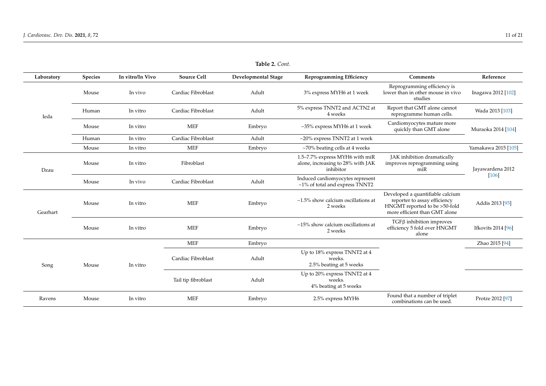| Laboratory | <b>Species</b> | In vitro/In Vivo | <b>Source Cell</b>  | <b>Developmental Stage</b> | <b>Reprogramming Efficiency</b>                                                  | Comments                                                                                                                           | Reference           |  |
|------------|----------------|------------------|---------------------|----------------------------|----------------------------------------------------------------------------------|------------------------------------------------------------------------------------------------------------------------------------|---------------------|--|
|            | Mouse          | In vivo          | Cardiac Fibroblast  | Adult                      | 3% express MYH6 at 1 week                                                        | Reprogramming efficiency is<br>lower than in other mouse in vivo<br>studies                                                        | Inagawa 2012 [102]  |  |
| Ieda       | Human          | In vitro         | Cardiac Fibroblast  | Adult                      | 5% express TNNT2 and ACTN2 at<br>4 weeks                                         | Report that GMT alone cannot<br>reprogramme human cells.                                                                           | Wada 2013 [103]     |  |
|            | Mouse          | In vitro         | <b>MEF</b>          | Embryo                     | ~35% express MYH6 at 1 week                                                      | Cardiomyocytes mature more<br>quickly than GMT alone                                                                               | Muraoka 2014 [104]  |  |
|            | Human          | In vitro         | Cardiac Fibroblast  | Adult                      | $\sim$ 20% express TNNT2 at 1 week                                               |                                                                                                                                    |                     |  |
|            | Mouse          | In vitro         | <b>MEF</b>          | Embryo                     | $~1$ / $~70\%$ beating cells at 4 weeks                                          |                                                                                                                                    | Yamakawa 2015 [105] |  |
| Dzau       | Mouse          | In vitro         | Fibroblast          |                            | 1.5-7.7% express MYH6 with miR<br>alone, increasing to 28% with JAK<br>inhibitor | JAK inhibition dramatically<br>improves reprogramming using<br>$m$ i $R$                                                           | Jayawardena 2012    |  |
|            | Mouse          | In vivo          | Cardiac Fibroblast  | Adult                      | Induced cardiomyocytes represent<br>~1% of total and express TNNT2               |                                                                                                                                    | [106]               |  |
| Gearhart   | Mouse          | In vitro         | <b>MEF</b>          | Embryo                     | $~1.5\%$ show calcium oscillations at<br>2 weeks                                 | Developed a quantifiable calcium<br>reporter to assay efficiency<br>HNGMT reported to be >50-fold<br>more efficient than GMT alone | Addis 2013 [95]     |  |
|            | Mouse          | In vitro         | <b>MEF</b>          | Embryo                     | $\sim$ 15% show calcium oscillations at<br>2 weeks                               | $TGF\beta$ inhibition improves<br>efficiency 5 fold over HNGMT<br>alone                                                            | Ifkovits 2014 [96]  |  |
|            |                |                  | <b>MEF</b>          | Embryo                     |                                                                                  |                                                                                                                                    | Zhao 2015 [94]      |  |
| Song       | Mouse          | In vitro         | Cardiac Fibroblast  | Adult                      | Up to 18% express TNNT2 at 4<br>weeks.<br>2.5% beating at 5 weeks                |                                                                                                                                    |                     |  |
|            |                |                  | Tail tip fibroblast | Adult                      | Up to 20% express TNNT2 at 4<br>weeks.<br>4% beating at 5 weeks                  |                                                                                                                                    |                     |  |
| Ravens     | Mouse          | In vitro         | <b>MEF</b>          | Embryo                     | 2.5% express MYH6                                                                | Found that a number of triplet<br>combinations can be used.                                                                        | Protze 2012 [97]    |  |

**Table 2.** *Cont.*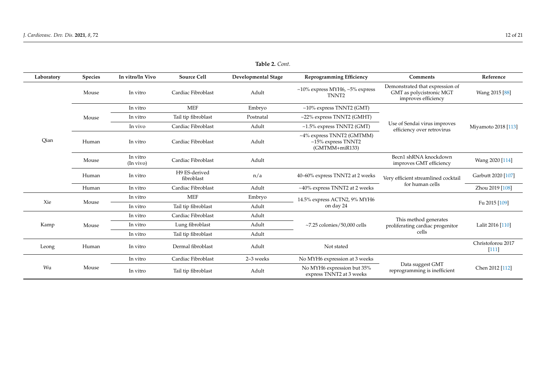<span id="page-12-1"></span><span id="page-12-0"></span>

| Laboratory | <b>Species</b> | In vitro/In Vivo      | <b>Source Cell</b>          | <b>Developmental Stage</b> | <b>Reprogramming Efficiency</b>                                          | Comments                                                                           | Reference                    |
|------------|----------------|-----------------------|-----------------------------|----------------------------|--------------------------------------------------------------------------|------------------------------------------------------------------------------------|------------------------------|
|            | Mouse          | In vitro              | Cardiac Fibroblast          | Adult                      | $~10\%$ express MYH6, $~5\%$ express<br>TNNT <sub>2</sub>                | Demonstrated that expression of<br>GMT as polycistronic MGT<br>improves efficiency | Wang 2015 [88]               |
|            |                | In vitro              | <b>MEF</b>                  | Embryo                     | $~10\%$ express TNNT2 (GMT)                                              |                                                                                    | Miyamoto 2018 [113]          |
|            | Mouse          | In vitro              | Tail tip fibroblast         | Postnatal                  | $\sim$ 22% express TNNT2 (GMHT)                                          |                                                                                    |                              |
|            |                | In vivo               | Cardiac Fibroblast          | Adult                      | $~1.5\%$ express TNNT2 (GMT)                                             | Use of Sendai virus improves<br>efficiency over retrovirus                         |                              |
| Oian       | Human          | In vitro              | Cardiac Fibroblast          | Adult                      | ~4% express TNNT2 (GMTMM)<br>$~15\%$ express TNNT2<br>$(GMTMM + miR133)$ |                                                                                    |                              |
|            | Mouse          | In vitro<br>(In vivo) | Cardiac Fibroblast          | Adult                      |                                                                          | Becn1 shRNA knockdown<br>improves GMT efficiency                                   | Wang 2020 [114]              |
|            | Human          | In vitro              | H9 ES-derived<br>fibroblast | n/a                        | 40-60% express TNNT2 at 2 weeks                                          | Very efficient streamlined cocktail                                                | Garbutt 2020 [107]           |
|            | Human          | In vitro              | Cardiac Fibroblast          | Adult                      | $~10\%$ express TNNT2 at 2 weeks                                         | for human cells                                                                    | Zhou 2019 [108]              |
|            |                | In vitro              | <b>MEF</b>                  | Embryo                     | 14.5% express ACTN2, 9% MYH6                                             |                                                                                    |                              |
| Xie        | Mouse          | In vitro              | Tail tip fibroblast         | Adult                      | on day 24                                                                |                                                                                    | Fu 2015 [109]                |
|            |                | In vitro              | Cardiac Fibroblast          | Adult                      |                                                                          | This method generates                                                              | Lalit 2016 [110]             |
| Kamp       | Mouse          | In vitro              | Lung fibroblast             | Adult                      | $\approx$ 7.25 colonies/50,000 cells                                     | proliferating cardiac progenitor                                                   |                              |
|            |                | In vitro              | Tail tip fibroblast         | Adult                      |                                                                          | cells                                                                              |                              |
| Leong      | Human          | In vitro              | Dermal fibroblast           | Adult                      | Not stated                                                               |                                                                                    | Christoforou 2017<br>$[111]$ |
|            |                | In vitro              | Cardiac Fibroblast          | 2-3 weeks                  | No MYH6 expression at 3 weeks                                            |                                                                                    |                              |
| Wu         | Mouse          | In vitro              | Tail tip fibroblast         | Adult                      | No MYH6 expression but 35%<br>express TNNT2 at 3 weeks                   | Data suggest GMT<br>reprogramming is inefficient                                   | Chen 2012 [112]              |

**Table 2.** *Cont.*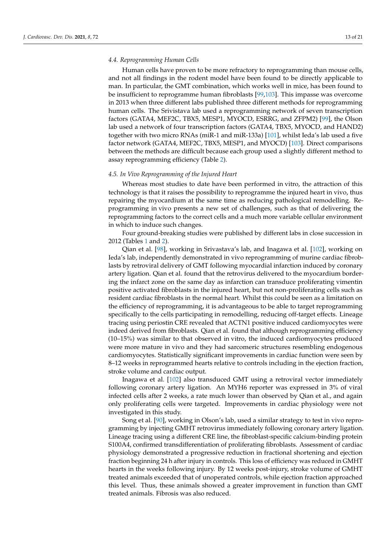# *4.4. Reprogramming Human Cells*

Human cells have proven to be more refractory to reprogramming than mouse cells, and not all findings in the rodent model have been found to be directly applicable to man. In particular, the GMT combination, which works well in mice, has been found to be insufficient to reprogramme human fibroblasts [\[99,](#page-20-21)[103\]](#page-20-22). This impasse was overcome in 2013 when three different labs published three different methods for reprogramming human cells. The Srivistava lab used a reprogramming network of seven transcription factors (GATA4, MEF2C, TBX5, MESP1, MYOCD, ESRRG, and ZFPM2) [\[99\]](#page-20-21), the Olson lab used a network of four transcription factors (GATA4, TBX5, MYOCD, and HAND2) together with two micro RNAs (miR-1 and miR-133a) [\[101\]](#page-20-23), whilst Ieda's lab used a five factor network (GATA4, MEF2C, TBX5, MESP1, and MYOCD) [\[103\]](#page-20-22). Direct comparisons between the methods are difficult because each group used a slightly different method to assay reprogramming efficiency (Table [2\)](#page-12-0).

# *4.5. In Vivo Reprogramming of the Injured Heart*

Whereas most studies to date have been performed in vitro, the attraction of this technology is that it raises the possibility to reprogramme the injured heart in vivo, thus repairing the myocardium at the same time as reducing pathological remodelling. Reprogramming in vivo presents a new set of challenges, such as that of delivering the reprogramming factors to the correct cells and a much more variable cellular environment in which to induce such changes.

Four ground-breaking studies were published by different labs in close succession in 2012 (Tables [1](#page-9-0) and [2\)](#page-12-0).

Qian et al. [\[98\]](#page-20-24), working in Srivastava's lab, and Inagawa et al. [\[102\]](#page-20-25), working on Ieda's lab, independently demonstrated in vivo reprogramming of murine cardiac fibroblasts by retroviral delivery of GMT following myocardial infarction induced by coronary artery ligation. Qian et al. found that the retrovirus delivered to the myocardium bordering the infarct zone on the same day as infarction can transduce proliferating vimentin positive activated fibroblasts in the injured heart, but not non-proliferating cells such as resident cardiac fibroblasts in the normal heart. Whilst this could be seen as a limitation on the efficiency of reprogramming, it is advantageous to be able to target reprogramming specifically to the cells participating in remodelling, reducing off-target effects. Lineage tracing using periostin CRE revealed that ACTN1 positive induced cardiomyocytes were indeed derived from fibroblasts. Qian et al. found that although reprogramming efficiency (10–15%) was similar to that observed in vitro, the induced cardiomyocytes produced were more mature in vivo and they had sarcomeric structures resembling endogenous cardiomyocytes. Statistically significant improvements in cardiac function were seen by 8–12 weeks in reprogrammed hearts relative to controls including in the ejection fraction, stroke volume and cardiac output.

Inagawa et al. [\[102\]](#page-20-25) also transduced GMT using a retroviral vector immediately following coronary artery ligation. An MYH6 reporter was expressed in 3% of viral infected cells after 2 weeks, a rate much lower than observed by Qian et al., and again only proliferating cells were targeted. Improvements in cardiac physiology were not investigated in this study.

Song et al. [\[90\]](#page-19-18), working in Olson's lab, used a similar strategy to test in vivo reprogramming by injecting GMHT retrovirus immediately following coronary artery ligation. Lineage tracing using a different CRE line, the fibroblast-specific calcium-binding protein S100A4, confirmed transdifferentiation of proliferating fibroblasts. Assessment of cardiac physiology demonstrated a progressive reduction in fractional shortening and ejection fraction beginning 24 h after injury in controls. This loss of efficiency was reduced in GMHT hearts in the weeks following injury. By 12 weeks post-injury, stroke volume of GMHT treated animals exceeded that of unoperated controls, while ejection fraction approached this level. Thus, these animals showed a greater improvement in function than GMT treated animals. Fibrosis was also reduced.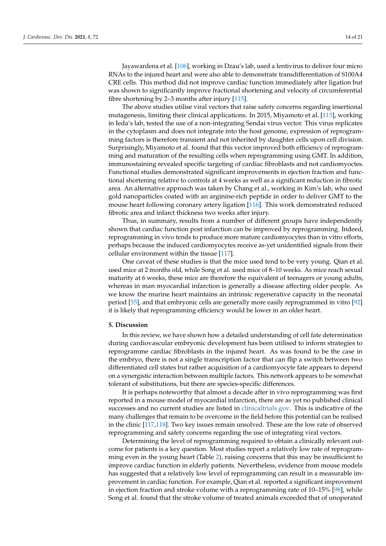Jayawardena et al. [\[106\]](#page-20-26), working in Dzau's lab, used a lentivirus to deliver four micro RNAs to the injured heart and were also able to demonstrate transdifferentiation of S100A4 CRE cells. This method did not improve cardiac function immediately after ligation but was shown to significantly improve fractional shortening and velocity of circumferential fibre shortening by 2–3 months after injury [\[115\]](#page-20-27).

The above studies utilise viral vectors that raise safety concerns regarding insertional mutagenesis, limiting their clinical applications. In 2015, Miyamoto et al. [\[113\]](#page-20-28), working in Ieda's lab, tested the use of a non-integrating Sendai virus vector. This virus replicates in the cytoplasm and does not integrate into the host genome, expression of reprogramming factors is therefore transient and not inherited by daughter cells upon cell division. Surprisingly, Miyamoto et al. found that this vector improved both efficiency of reprogramming and maturation of the resulting cells when reprogramming using GMT. In addition, immunostaining revealed specific targeting of cardiac fibroblasts and not cardiomyoctes. Functional studies demonstrated significant improvements in ejection fraction and functional shortening relative to controls at 4 weeks as well as a significant reduction in fibrotic area. An alternative approach was taken by Chang et al., working in Kim's lab, who used gold nanoparticles coated with an arginine-rich peptide in order to deliver GMT to the mouse heart following coronary artery ligation [\[116\]](#page-20-29). This work demonstrated reduced fibrotic area and infarct thickness two weeks after injury.

Thus, in summary, results from a number of different groups have independently shown that cardiac function post infarction can be improved by reprogramming. Indeed, reprogramming in vivo tends to produce more mature cardiomyocytes than in vitro efforts, perhaps because the induced cardiomyocytes receive as-yet unidentified signals from their cellular environment within the tissue [\[117\]](#page-20-30).

One caveat of these studies is that the mice used tend to be very young. Qian et al. used mice at 2 months old, while Song et al. used mice of 8–10 weeks. As mice reach sexual maturity at 6 weeks, these mice are therefore the equivalent of teenagers or young adults, whereas in man myocardial infarction is generally a disease affecting older people. As we know the murine heart maintains an intrinsic regenerative capacity in the neonatal period [\[55\]](#page-18-13), and that embryonic cells are generally more easily reprogrammed in vitro [\[92\]](#page-19-23) it is likely that reprogramming efficiency would be lower in an older heart.

# **5. Discussion**

In this review, we have shown how a detailed understanding of cell fate determination during cardiovascular embryonic development has been utilised to inform strategies to reprogramme cardiac fibroblasts in the injured heart. As was found to be the case in the embryo, there is not a single transcription factor that can flip a switch between two differentiated cell states but rather acquisition of a cardiomyocyte fate appears to depend on a synergistic interaction between multiple factors. This network appears to be somewhat tolerant of substitutions, but there are species-specific differences.

It is perhaps noteworthy that almost a decade after in vivo reprogramming was first reported in a mouse model of myocardial infarction, there are as yet no published clinical successes and no current studies are listed in [clinicaltrials.gov.](clinicaltrials.gov) This is indicative of the many challenges that remain to be overcome in the field before this potential can be realised in the clinic [\[117,](#page-20-30)[118\]](#page-20-31). Two key issues remain unsolved. These are the low rate of observed reprogramming and safety concerns regarding the use of integrating viral vectors.

Determining the level of reprogramming required to obtain a clinically relevant outcome for patients is a key question. Most studies report a relatively low rate of reprogramming even in the young heart (Table [2\)](#page-12-0), raising concerns that this may be insufficient to improve cardiac function in elderly patients. Nevertheless, evidence from mouse models has suggested that a relatively low level of reprogramming can result in a measurable improvement in cardiac function. For example, Qian et al. reported a significant improvement in ejection fraction and stroke volume with a reprogramming rate of 10–15% [\[98\]](#page-20-24), while Song et al. found that the stroke volume of treated animals exceeded that of unoperated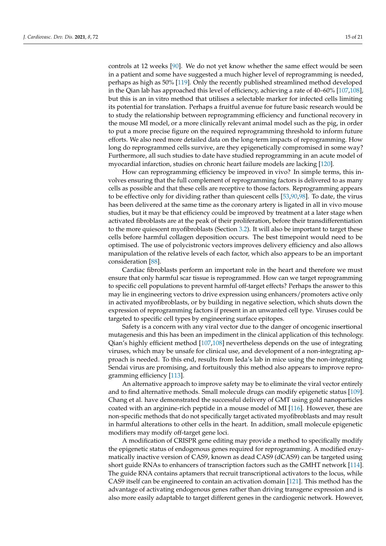controls at 12 weeks [\[90\]](#page-19-18). We do not yet know whether the same effect would be seen in a patient and some have suggested a much higher level of reprogramming is needed, perhaps as high as 50% [\[119\]](#page-21-0). Only the recently published streamlined method developed in the Qian lab has approached this level of efficiency, achieving a rate of 40–60% [\[107](#page-20-32)[,108\]](#page-20-33), but this is an in vitro method that utilises a selectable marker for infected cells limiting its potential for translation. Perhaps a fruitful avenue for future basic research would be to study the relationship between reprogramming efficiency and functional recovery in the mouse MI model, or a more clinically relevant animal model such as the pig, in order to put a more precise figure on the required reprogramming threshold to inform future efforts. We also need more detailed data on the long-term impacts of reprogramming. How long do reprogrammed cells survive, are they epigenetically compromised in some way? Furthermore, all such studies to date have studied reprogramming in an acute model of myocardial infarction, studies on chronic heart failure models are lacking [\[120\]](#page-21-1).

How can reprogramming efficiency be improved in vivo? In simple terms, this involves ensuring that the full complement of reprogramming factors is delivered to as many cells as possible and that these cells are receptive to those factors. Reprogramming appears to be effective only for dividing rather than quiescent cells [\[53,](#page-18-11)[90,](#page-19-18)[98\]](#page-20-24). To date, the virus has been delivered at the same time as the coronary artery is ligated in all in vivo mouse studies, but it may be that efficiency could be improved by treatment at a later stage when activated fibroblasts are at the peak of their proliferation, before their transdifferentiation to the more quiescent myofibroblasts (Section [3.2\)](#page-5-0). It will also be important to target these cells before harmful collagen deposition occurs. The best timepoint would need to be optimised. The use of polycistronic vectors improves delivery efficiency and also allows manipulation of the relative levels of each factor, which also appears to be an important consideration [\[88\]](#page-19-16).

Cardiac fibroblasts perform an important role in the heart and therefore we must ensure that only harmful scar tissue is reprogrammed. How can we target reprogramming to specific cell populations to prevent harmful off-target effects? Perhaps the answer to this may lie in engineering vectors to drive expression using enhancers/promoters active only in activated myofibroblasts, or by building in negative selection, which shuts down the expression of reprogramming factors if present in an unwanted cell type. Viruses could be targeted to specific cell types by engineering surface epitopes.

Safety is a concern with any viral vector due to the danger of oncogenic insertional mutagenesis and this has been an impediment in the clinical application of this technology. Qian's highly efficient method [\[107](#page-20-32)[,108\]](#page-20-33) nevertheless depends on the use of integrating viruses, which may be unsafe for clinical use, and development of a non-integrating approach is needed. To this end, results from Ieda's lab in mice using the non-integrating Sendai virus are promising, and fortuitously this method also appears to improve reprogramming efficiency [\[113\]](#page-20-28).

An alternative approach to improve safety may be to eliminate the viral vector entirely and to find alternative methods. Small molecule drugs can modify epigenetic status [\[109\]](#page-20-34). Chang et al. have demonstrated the successful delivery of GMT using gold nanoparticles coated with an arginine-rich peptide in a mouse model of MI [\[116\]](#page-20-29). However, these are non-specific methods that do not specifically target activated myofibroblasts and may result in harmful alterations to other cells in the heart. In addition, small molecule epigenetic modifiers may modify off-target gene loci.

A modification of CRISPR gene editing may provide a method to specifically modify the epigenetic status of endogenous genes required for reprogramming. A modified enzymatically inactive version of CAS9, known as dead CAS9 (dCAS9) can be targeted using short guide RNAs to enhancers of transcription factors such as the GMHT network [\[114\]](#page-20-35). The guide RNA contains aptamers that recruit transcriptional activators to the locus, while CAS9 itself can be engineered to contain an activation domain [\[121\]](#page-21-2). This method has the advantage of activating endogenous genes rather than driving transgene expression and is also more easily adaptable to target different genes in the cardiogenic network. However,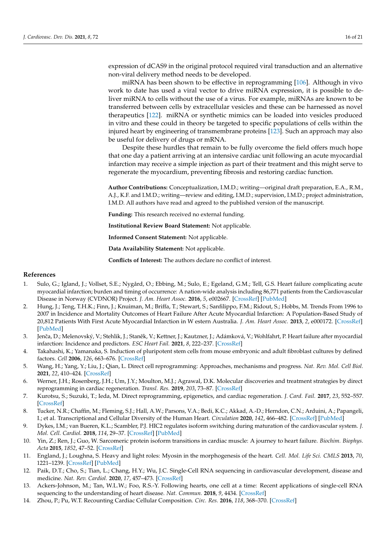expression of dCAS9 in the original protocol required viral transduction and an alternative non-viral delivery method needs to be developed.

miRNA has been shown to be effective in reprogramming [\[106\]](#page-20-26). Although in vivo work to date has used a viral vector to drive miRNA expression, it is possible to deliver miRNA to cells without the use of a virus. For example, miRNAs are known to be transferred between cells by extracellular vesicles and these can be harnessed as novel therapeutics [\[122\]](#page-21-3). miRNA or synthetic mimics can be loaded into vesicles produced in vitro and these could in theory be targeted to specific populations of cells within the injured heart by engineering of transmembrane proteins [\[123\]](#page-21-4). Such an approach may also be useful for delivery of drugs or mRNA.

Despite these hurdles that remain to be fully overcome the field offers much hope that one day a patient arriving at an intensive cardiac unit following an acute myocardial infarction may receive a simple injection as part of their treatment and this might serve to regenerate the myocardium, preventing fibrosis and restoring cardiac function.

**Author Contributions:** Conceptualization, I.M.D.; writing—original draft preparation, E.A., R.M., A.J., K.F. and I.M.D.; writing—review and editing, I.M.D.; supervision, I.M.D.; project administration, I.M.D. All authors have read and agreed to the published version of the manuscript.

**Funding:** This research received no external funding.

**Institutional Review Board Statement:** Not applicable.

**Informed Consent Statement:** Not applicable.

**Data Availability Statement:** Not applicable.

**Conflicts of Interest:** The authors declare no conflict of interest.

#### <span id="page-16-11"></span>**References**

- <span id="page-16-0"></span>1. Sulo, G.; Igland, J.; Vollset, S.E.; Nygård, O.; Ebbing, M.; Sulo, E.; Egeland, G.M.; Tell, G.S. Heart failure complicating acute myocardial infarction; burden and timing of occurrence: A nation-wide analysis including 86,771 patients from the Cardiovascular Disease in Norway (CVDNOR) Project. *J. Am. Heart Assoc.* **2016**, *5*, e002667. [\[CrossRef\]](http://doi.org/10.1161/JAHA.115.002667) [\[PubMed\]](http://www.ncbi.nlm.nih.gov/pubmed/26744379)
- 2. Hung, J.; Teng, T.H.K.; Finn, J.; Knuiman, M.; Briffa, T.; Stewart, S.; Sanfilippo, F.M.; Ridout, S.; Hobbs, M. Trends From 1996 to 2007 in Incidence and Mortality Outcomes of Heart Failure After Acute Myocardial Infarction: A Population-Based Study of 20,812 Patients With First Acute Myocardial Infarction in W estern Australia. *J. Am. Heart Assoc.* **2013**, *2*, e000172. [\[CrossRef\]](http://doi.org/10.1161/JAHA.113.000172) [\[PubMed\]](http://www.ncbi.nlm.nih.gov/pubmed/24103569)
- <span id="page-16-1"></span>3. Jenča, D.; Melenovský, V.; Stehlik, J.; Staněk, V.; Kettner, J.; Kautzner, J.; Adámková, V.; Wohlfahrt, P. Heart failure after myocardial infarction: Incidence and predictors. *ESC Heart Fail.* **2021**, *8*, 222–237. [\[CrossRef\]](http://doi.org/10.1002/ehf2.13144)
- <span id="page-16-2"></span>4. Takahashi, K.; Yamanaka, S. Induction of pluripotent stem cells from mouse embryonic and adult fibroblast cultures by defined factors. *Cell* **2006**, *126*, 663–676. [\[CrossRef\]](http://doi.org/10.1016/j.cell.2006.07.024)
- <span id="page-16-3"></span>5. Wang, H.; Yang, Y.; Liu, J.; Qian, L. Direct cell reprogramming: Approaches, mechanisms and progress. *Nat. Rev. Mol. Cell Biol.* **2021**, *22*, 410–424. [\[CrossRef\]](http://doi.org/10.1038/s41580-021-00335-z)
- 6. Werner, J.H.; Rosenberg, J.H.; Um, J.Y.; Moulton, M.J.; Agrawal, D.K. Molecular discoveries and treatment strategies by direct reprogramming in cardiac regeneration. *Transl. Res.* **2019**, *203*, 73–87. [\[CrossRef\]](http://doi.org/10.1016/j.trsl.2018.07.012)
- <span id="page-16-4"></span>7. Kurotsu, S.; Suzuki, T.; Ieda, M. Direct reprogramming, epigenetics, and cardiac regeneration. *J. Card. Fail.* **2017**, *23*, 552–557. [\[CrossRef\]](http://doi.org/10.1016/j.cardfail.2017.05.009)
- <span id="page-16-5"></span>8. Tucker, N.R.; Chaffin, M.; Fleming, S.J.; Hall, A.W.; Parsons, V.A.; Bedi, K.C.; Akkad, A.-D.; Herndon, C.N.; Arduini, A.; Papangeli, I.; et al. Transcriptional and Cellular Diversity of the Human Heart. *Circulation* **2020**, *142*, 466–482. [\[CrossRef\]](http://doi.org/10.1161/CIRCULATIONAHA.119.045401) [\[PubMed\]](http://www.ncbi.nlm.nih.gov/pubmed/32403949)
- <span id="page-16-6"></span>9. Dykes, I.M.; van Bueren, K.L.; Scambler, P.J. HIC2 regulates isoform switching during maturation of the cardiovascular system. *J. Mol. Cell. Cardiol.* **2018**, *114*, 29–37. [\[CrossRef\]](http://doi.org/10.1016/j.yjmcc.2017.10.007) [\[PubMed\]](http://www.ncbi.nlm.nih.gov/pubmed/29061339)
- 10. Yin, Z.; Ren, J.; Guo, W. Sarcomeric protein isoform transitions in cardiac muscle: A journey to heart failure. *Biochim. Biophys. Acta* **2015**, *1852*, 47–52. [\[CrossRef\]](http://doi.org/10.1016/j.bbadis.2014.11.003)
- <span id="page-16-7"></span>11. England, J.; Loughna, S. Heavy and light roles: Myosin in the morphogenesis of the heart. *Cell. Mol. Life Sci. CMLS* **2013**, *70*, 1221–1239. [\[CrossRef\]](http://doi.org/10.1007/s00018-012-1131-1) [\[PubMed\]](http://www.ncbi.nlm.nih.gov/pubmed/22955375)
- <span id="page-16-8"></span>12. Paik, D.T.; Cho, S.; Tian, L.; Chang, H.Y.; Wu, J.C. Single-Cell RNA sequencing in cardiovascular development, disease and medicine. *Nat. Rev. Cardiol.* **2020**, *17*, 457–473. [\[CrossRef\]](http://doi.org/10.1038/s41569-020-0359-y)
- <span id="page-16-9"></span>13. Ackers-Johnson, M.; Tan, W.L.W.; Foo, R.S.-Y. Following hearts, one cell at a time: Recent applications of single-cell RNA sequencing to the understanding of heart disease. *Nat. Commun.* **2018**, *9*, 4434. [\[CrossRef\]](http://doi.org/10.1038/s41467-018-06894-8)
- <span id="page-16-10"></span>14. Zhou, P.; Pu, W.T. Recounting Cardiac Cellular Composition. *Circ. Res.* **2016**, *118*, 368–370. [\[CrossRef\]](http://doi.org/10.1161/CIRCRESAHA.116.308139)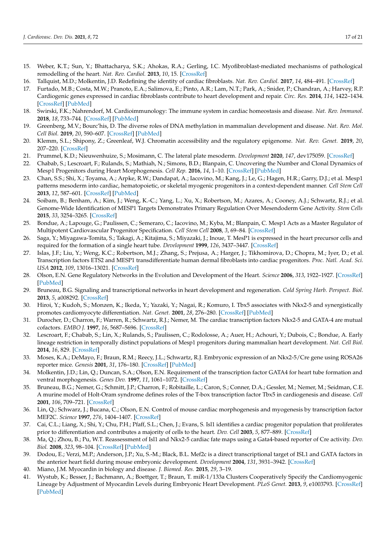- <span id="page-17-0"></span>15. Weber, K.T.; Sun, Y.; Bhattacharya, S.K.; Ahokas, R.A.; Gerling, I.C. Myofibroblast-mediated mechanisms of pathological remodelling of the heart. *Nat. Rev. Cardiol.* **2013**, *10*, 15. [\[CrossRef\]](http://doi.org/10.1038/nrcardio.2012.158)
- <span id="page-17-1"></span>16. Tallquist, M.D.; Molkentin, J.D. Redefining the identity of cardiac fibroblasts. *Nat. Rev. Cardiol.* **2017**, *14*, 484–491. [\[CrossRef\]](http://doi.org/10.1038/nrcardio.2017.57)
- <span id="page-17-2"></span>17. Furtado, M.B.; Costa, M.W.; Pranoto, E.A.; Salimova, E.; Pinto, A.R.; Lam, N.T.; Park, A.; Snider, P.; Chandran, A.; Harvey, R.P. Cardiogenic genes expressed in cardiac fibroblasts contribute to heart development and repair. *Circ. Res.* **2014**, *114*, 1422–1434. [\[CrossRef\]](http://doi.org/10.1161/CIRCRESAHA.114.302530) [\[PubMed\]](http://www.ncbi.nlm.nih.gov/pubmed/24650916)
- <span id="page-17-3"></span>18. Swirski, F.K.; Nahrendorf, M. Cardioimmunology: The immune system in cardiac homeostasis and disease. *Nat. Rev. Immunol.* **2018**, *18*, 733–744. [\[CrossRef\]](http://doi.org/10.1038/s41577-018-0065-8) [\[PubMed\]](http://www.ncbi.nlm.nih.gov/pubmed/30228378)
- <span id="page-17-4"></span>19. Greenberg, M.V.; Bourc'his, D. The diverse roles of DNA methylation in mammalian development and disease. *Nat. Rev. Mol. Cell Biol.* **2019**, *20*, 590–607. [\[CrossRef\]](http://doi.org/10.1038/s41580-019-0159-6) [\[PubMed\]](http://www.ncbi.nlm.nih.gov/pubmed/31399642)
- <span id="page-17-5"></span>20. Klemm, S.L.; Shipony, Z.; Greenleaf, W.J. Chromatin accessibility and the regulatory epigenome. *Nat. Rev. Genet.* **2019**, *20*, 207–220. [\[CrossRef\]](http://doi.org/10.1038/s41576-018-0089-8)
- <span id="page-17-6"></span>21. Prummel, K.D.; Nieuwenhuize, S.; Mosimann, C. The lateral plate mesoderm. *Development* **2020**, *147*, dev175059. [\[CrossRef\]](http://doi.org/10.1242/dev.175059)
- <span id="page-17-7"></span>22. Chabab, S.; Lescroart, F.; Rulands, S.; Mathiah, N.; Simons, B.D.; Blanpain, C. Uncovering the Number and Clonal Dynamics of Mesp1 Progenitors during Heart Morphogenesis. *Cell Rep.* **2016**, *14*, 1–10. [\[CrossRef\]](http://doi.org/10.1016/j.celrep.2015.12.013) [\[PubMed\]](http://www.ncbi.nlm.nih.gov/pubmed/26725109)
- <span id="page-17-8"></span>23. Chan, S.S.; Shi, X.; Toyama, A.; Arpke, R.W.; Dandapat, A.; Iacovino, M.; Kang, J.; Le, G.; Hagen, H.R.; Garry, D.J.; et al. Mesp1 patterns mesoderm into cardiac, hematopoietic, or skeletal myogenic progenitors in a context-dependent manner. *Cell Stem Cell* **2013**, *12*, 587–601. [\[CrossRef\]](http://doi.org/10.1016/j.stem.2013.03.004) [\[PubMed\]](http://www.ncbi.nlm.nih.gov/pubmed/23642367)
- 24. Soibam, B.; Benham, A.; Kim, J.; Weng, K.-C.; Yang, L.; Xu, X.; Robertson, M.; Azares, A.; Cooney, A.J.; Schwartz, R.J.; et al. Genome-Wide Identification of MESP1 Targets Demonstrates Primary Regulation Over Mesendoderm Gene Activity. *Stem Cells* **2015**, *33*, 3254–3265. [\[CrossRef\]](http://doi.org/10.1002/stem.2111)
- 25. Bondue, A.; Lapouge, G.; Paulissen, C.; Semeraro, C.; Iacovino, M.; Kyba, M.; Blanpain, C. Mesp1 Acts as a Master Regulator of Multipotent Cardiovascular Progenitor Specification. *Cell Stem Cell* **2008**, *3*, 69–84. [\[CrossRef\]](http://doi.org/10.1016/j.stem.2008.06.009)
- <span id="page-17-9"></span>26. Saga, Y.; Miyagawa-Tomita, S.; Takagi, A.; Kitajima, S.; Miyazaki, J.; Inoue, T. MesP1 is expressed in the heart precursor cells and required for the formation of a single heart tube. *Development* **1999**, *126*, 3437–3447. [\[CrossRef\]](http://doi.org/10.1242/dev.126.15.3437)
- <span id="page-17-10"></span>27. Islas, J.F.; Liu, Y.; Weng, K.C.; Robertson, M.J.; Zhang, S.; Prejusa, A.; Harger, J.; Tikhomirova, D.; Chopra, M.; Iyer, D.; et al. Transcription factors ETS2 and MESP1 transdifferentiate human dermal fibroblasts into cardiac progenitors. *Proc. Natl. Acad. Sci. USA* **2012**, *109*, 13016–13021. [\[CrossRef\]](http://doi.org/10.1073/pnas.1120299109)
- <span id="page-17-11"></span>28. Olson, E.N. Gene Regulatory Networks in the Evolution and Development of the Heart. *Science* **2006**, *313*, 1922–1927. [\[CrossRef\]](http://doi.org/10.1126/science.1132292) [\[PubMed\]](http://www.ncbi.nlm.nih.gov/pubmed/17008524)
- 29. Bruneau, B.G. Signaling and transcriptional networks in heart development and regeneration. *Cold Spring Harb. Perspect. Biol.* **2013**, *5*, a008292. [\[CrossRef\]](http://doi.org/10.1101/cshperspect.a008292)
- 30. Hiroi, Y.; Kudoh, S.; Monzen, K.; Ikeda, Y.; Yazaki, Y.; Nagai, R.; Komuro, I. Tbx5 associates with Nkx2-5 and synergistically promotes cardiomyocyte differentiation. *Nat. Genet.* **2001**, *28*, 276–280. [\[CrossRef\]](http://doi.org/10.1038/90123) [\[PubMed\]](http://www.ncbi.nlm.nih.gov/pubmed/11431700)
- <span id="page-17-12"></span>31. Durocher, D.; Charron, F.; Warren, R.; Schwartz, R.J.; Nemer, M. The cardiac transcription factors Nkx2-5 and GATA-4 are mutual cofactors. *EMBO J.* **1997**, *16*, 5687–5696. [\[CrossRef\]](http://doi.org/10.1093/emboj/16.18.5687)
- <span id="page-17-13"></span>32. Lescroart, F.; Chabab, S.; Lin, X.; Rulands, S.; Paulissen, C.; Rodolosse, A.; Auer, H.; Achouri, Y.; Dubois, C.; Bondue, A. Early lineage restriction in temporally distinct populations of Mesp1 progenitors during mammalian heart development. *Nat. Cell Biol.* **2014**, *16*, 829. [\[CrossRef\]](http://doi.org/10.1038/ncb3024)
- <span id="page-17-14"></span>33. Moses, K.A.; DeMayo, F.; Braun, R.M.; Reecy, J.L.; Schwartz, R.J. Embryonic expression of an Nkx2-5/Cre gene using ROSA26 reporter mice. *Genesis* **2001**, *31*, 176–180. [\[CrossRef\]](http://doi.org/10.1002/gene.10022) [\[PubMed\]](http://www.ncbi.nlm.nih.gov/pubmed/11783008)
- <span id="page-17-15"></span>34. Molkentin, J.D.; Lin, Q.; Duncan, S.A.; Olson, E.N. Requirement of the transcription factor GATA4 for heart tube formation and ventral morphogenesis. *Genes Dev.* **1997**, *11*, 1061–1072. [\[CrossRef\]](http://doi.org/10.1101/gad.11.8.1061)
- <span id="page-17-16"></span>35. Bruneau, B.G.; Nemer, G.; Schmitt, J.P.; Charron, F.; Robitaille, L.; Caron, S.; Conner, D.A.; Gessler, M.; Nemer, M.; Seidman, C.E. A murine model of Holt-Oram syndrome defines roles of the T-box transcription factor Tbx5 in cardiogenesis and disease. *Cell* **2001**, *106*, 709–721. [\[CrossRef\]](http://doi.org/10.1016/S0092-8674(01)00493-7)
- <span id="page-17-17"></span>36. Lin, Q.; Schwarz, J.; Bucana, C.; Olson, E.N. Control of mouse cardiac morphogenesis and myogenesis by transcription factor MEF2C. *Science* **1997**, *276*, 1404–1407. [\[CrossRef\]](http://doi.org/10.1126/science.276.5317.1404)
- <span id="page-17-18"></span>37. Cai, C.L.; Liang, X.; Shi, Y.; Chu, P.H.; Pfaff, S.L.; Chen, J.; Evans, S. Isl1 identifies a cardiac progenitor population that proliferates prior to differentiation and contributes a majority of cells to the heart. *Dev. Cell* **2003**, *5*, 877–889. [\[CrossRef\]](http://doi.org/10.1016/S1534-5807(03)00363-0)
- <span id="page-17-19"></span>38. Ma, Q.; Zhou, B.; Pu, W.T. Reassessment of Isl1 and Nkx2-5 cardiac fate maps using a Gata4-based reporter of Cre activity. *Dev. Biol.* **2008**, *323*, 98–104. [\[CrossRef\]](http://doi.org/10.1016/j.ydbio.2008.08.013) [\[PubMed\]](http://www.ncbi.nlm.nih.gov/pubmed/18775691)
- <span id="page-17-20"></span>39. Dodou, E.; Verzi, M.P.; Anderson, J.P.; Xu, S.-M.; Black, B.L. Mef2c is a direct transcriptional target of ISL1 and GATA factors in the anterior heart field during mouse embryonic development. *Development* **2004**, *131*, 3931–3942. [\[CrossRef\]](http://doi.org/10.1242/dev.01256)
- <span id="page-17-21"></span>40. Miano, J.M. Myocardin in biology and disease. *J. Biomed. Res.* **2015**, *29*, 3–19.
- <span id="page-17-22"></span>41. Wystub, K.; Besser, J.; Bachmann, A.; Boettger, T.; Braun, T. miR-1/133a Clusters Cooperatively Specify the Cardiomyogenic Lineage by Adjustment of Myocardin Levels during Embryonic Heart Development. *PLoS Genet.* **2013**, *9*, e1003793. [\[CrossRef\]](http://doi.org/10.1371/journal.pgen.1003793) [\[PubMed\]](http://www.ncbi.nlm.nih.gov/pubmed/24068960)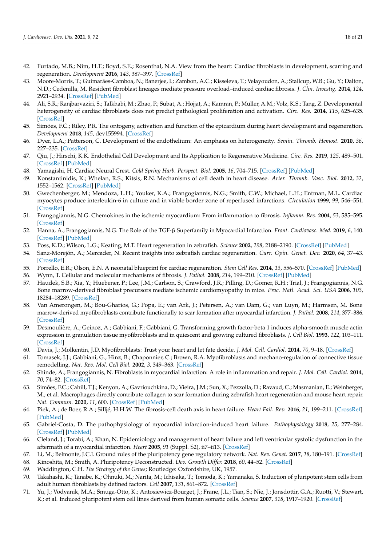- <span id="page-18-0"></span>42. Furtado, M.B.; Nim, H.T.; Boyd, S.E.; Rosenthal, N.A. View from the heart: Cardiac fibroblasts in development, scarring and regeneration. *Development* **2016**, *143*, 387–397. [\[CrossRef\]](http://doi.org/10.1242/dev.120576)
- <span id="page-18-1"></span>43. Moore-Morris, T.; Guimarães-Camboa, N.; Banerjee, I.; Zambon, A.C.; Kisseleva, T.; Velayoudon, A.; Stallcup, W.B.; Gu, Y.; Dalton, N.D.; Cedenilla, M. Resident fibroblast lineages mediate pressure overload–induced cardiac fibrosis. *J. Clin. Investig.* **2014**, *124*, 2921–2934. [\[CrossRef\]](http://doi.org/10.1172/JCI74783) [\[PubMed\]](http://www.ncbi.nlm.nih.gov/pubmed/24937432)
- <span id="page-18-2"></span>44. Ali, S.R.; Ranjbarvaziri, S.; Talkhabi, M.; Zhao, P.; Subat, A.; Hojjat, A.; Kamran, P.; Müller, A.M.; Volz, K.S.; Tang, Z. Developmental heterogeneity of cardiac fibroblasts does not predict pathological proliferation and activation. *Circ. Res.* **2014**, *115*, 625–635. [\[CrossRef\]](http://doi.org/10.1161/CIRCRESAHA.115.303794)
- <span id="page-18-3"></span>45. Simões, F.C.; Riley, P.R. The ontogeny, activation and function of the epicardium during heart development and regeneration. *Development* **2018**, *145*, dev155994. [\[CrossRef\]](http://doi.org/10.1242/dev.155994)
- <span id="page-18-4"></span>46. Dyer, L.A.; Patterson, C. Development of the endothelium: An emphasis on heterogeneity. *Semin. Thromb. Hemost.* **2010**, *36*, 227–235. [\[CrossRef\]](http://doi.org/10.1055/s-0030-1253446)
- <span id="page-18-5"></span>47. Qiu, J.; Hirschi, K.K. Endothelial Cell Development and Its Application to Regenerative Medicine. *Circ. Res.* **2019**, *125*, 489–501. [\[CrossRef\]](http://doi.org/10.1161/CIRCRESAHA.119.311405) [\[PubMed\]](http://www.ncbi.nlm.nih.gov/pubmed/31518171)
- <span id="page-18-6"></span>48. Yamagishi, H. Cardiac Neural Crest. *Cold Spring Harb. Perspect. Biol.* **2005**, *16*, 704–715. [\[CrossRef\]](http://doi.org/10.1101/cshperspect.a036715) [\[PubMed\]](http://www.ncbi.nlm.nih.gov/pubmed/32071091)
- <span id="page-18-7"></span>49. Konstantinidis, K.; Whelan, R.S.; Kitsis, R.N. Mechanisms of cell death in heart disease. *Arter. Thromb. Vasc. Biol.* **2012**, *32*, 1552–1562. [\[CrossRef\]](http://doi.org/10.1161/ATVBAHA.111.224915) [\[PubMed\]](http://www.ncbi.nlm.nih.gov/pubmed/22596221)
- <span id="page-18-8"></span>50. Gwechenberger, M.; Mendoza, L.H.; Youker, K.A.; Frangogiannis, N.G.; Smith, C.W.; Michael, L.H.; Entman, M.L. Cardiac myocytes produce interleukin-6 in culture and in viable border zone of reperfused infarctions. *Circulation* **1999**, *99*, 546–551. [\[CrossRef\]](http://doi.org/10.1161/01.CIR.99.4.546)
- <span id="page-18-9"></span>51. Frangogiannis, N.G. Chemokines in the ischemic myocardium: From inflammation to fibrosis. *Inflamm. Res.* **2004**, *53*, 585–595. [\[CrossRef\]](http://doi.org/10.1007/s00011-004-1298-5)
- <span id="page-18-10"></span>52. Hanna, A.; Frangogiannis, N.G. The Role of the TGF-β Superfamily in Myocardial Infarction. *Front. Cardiovasc. Med.* **2019**, *6*, 140. [\[CrossRef\]](http://doi.org/10.3389/fcvm.2019.00140) [\[PubMed\]](http://www.ncbi.nlm.nih.gov/pubmed/31620450)
- <span id="page-18-11"></span>53. Poss, K.D.; Wilson, L.G.; Keating, M.T. Heart regeneration in zebrafish. *Science* **2002**, *298*, 2188–2190. [\[CrossRef\]](http://doi.org/10.1126/science.1077857) [\[PubMed\]](http://www.ncbi.nlm.nih.gov/pubmed/12481136)
- <span id="page-18-12"></span>54. Sanz-Morejón, A.; Mercader, N. Recent insights into zebrafish cardiac regeneration. *Curr. Opin. Genet. Dev.* **2020**, *64*, 37–43. [\[CrossRef\]](http://doi.org/10.1016/j.gde.2020.05.020)
- <span id="page-18-13"></span>55. Porrello, E.R.; Olson, E.N. A neonatal blueprint for cardiac regeneration. *Stem Cell Res.* **2014**, *13*, 556–570. [\[CrossRef\]](http://doi.org/10.1016/j.scr.2014.06.003) [\[PubMed\]](http://www.ncbi.nlm.nih.gov/pubmed/25108892)
- <span id="page-18-14"></span>56. Wynn, T. Cellular and molecular mechanisms of fibrosis. *J. Pathol.* **2008**, *214*, 199–210. [\[CrossRef\]](http://doi.org/10.1002/path.2277) [\[PubMed\]](http://www.ncbi.nlm.nih.gov/pubmed/18161745)
- <span id="page-18-15"></span>57. Haudek, S.B.; Xia, Y.; Huebener, P.; Lee, J.M.; Carlson, S.; Crawford, J.R.; Pilling, D.; Gomer, R.H.; Trial, J.; Frangogiannis, N.G. Bone marrow-derived fibroblast precursors mediate ischemic cardiomyopathy in mice. *Proc. Natl. Acad. Sci. USA* **2006**, *103*, 18284–18289. [\[CrossRef\]](http://doi.org/10.1073/pnas.0608799103)
- <span id="page-18-16"></span>58. Van Amerongen, M.; Bou-Gharios, G.; Popa, E.; van Ark, J.; Petersen, A.; van Dam, G.; van Luyn, M.; Harmsen, M. Bone marrow-derived myofibroblasts contribute functionally to scar formation after myocardial infarction. *J. Pathol.* **2008**, *214*, 377–386. [\[CrossRef\]](http://doi.org/10.1002/path.2281)
- <span id="page-18-17"></span>59. Desmoulière, A.; Geinoz, A.; Gabbiani, F.; Gabbiani, G. Transforming growth factor-beta 1 induces alpha-smooth muscle actin expression in granulation tissue myofibroblasts and in quiescent and growing cultured fibroblasts. *J. Cell Biol.* **1993**, *122*, 103–111. [\[CrossRef\]](http://doi.org/10.1083/jcb.122.1.103)
- <span id="page-18-18"></span>60. Davis, J.; Molkentin, J.D. Myofibroblasts: Trust your heart and let fate decide. *J. Mol. Cell. Cardiol.* **2014**, *70*, 9–18. [\[CrossRef\]](http://doi.org/10.1016/j.yjmcc.2013.10.019)
- <span id="page-18-19"></span>61. Tomasek, J.J.; Gabbiani, G.; Hinz, B.; Chaponnier, C.; Brown, R.A. Myofibroblasts and mechano-regulation of connective tissue remodelling. *Nat. Rev. Mol. Cell Biol.* **2002**, *3*, 349–363. [\[CrossRef\]](http://doi.org/10.1038/nrm809)
- <span id="page-18-20"></span>62. Shinde, A.; Frangogiannis, N. Fibroblasts in myocardial infarction: A role in inflammation and repair. *J. Mol. Cell. Cardiol.* **2014**, *70*, 74–82. [\[CrossRef\]](http://doi.org/10.1016/j.yjmcc.2013.11.015)
- <span id="page-18-21"></span>63. Simões, F.C.; Cahill, T.J.; Kenyon, A.; Gavriouchkina, D.; Vieira, J.M.; Sun, X.; Pezzolla, D.; Ravaud, C.; Masmanian, E.; Weinberger, M.; et al. Macrophages directly contribute collagen to scar formation during zebrafish heart regeneration and mouse heart repair. *Nat. Commun.* **2020**, *11*, 600. [\[CrossRef\]](http://doi.org/10.1038/s41467-019-14263-2) [\[PubMed\]](http://www.ncbi.nlm.nih.gov/pubmed/32001677)
- <span id="page-18-22"></span>64. Piek, A.; de Boer, R.A.; Silljé, H.H.W. The fibrosis-cell death axis in heart failure. *Heart Fail. Rev.* **2016**, *21*, 199–211. [\[CrossRef\]](http://doi.org/10.1007/s10741-016-9536-9) [\[PubMed\]](http://www.ncbi.nlm.nih.gov/pubmed/26883434)
- <span id="page-18-23"></span>65. Gabriel-Costa, D. The pathophysiology of myocardial infarction-induced heart failure. *Pathophysiology* **2018**, *25*, 277–284. [\[CrossRef\]](http://doi.org/10.1016/j.pathophys.2018.04.003) [\[PubMed\]](http://www.ncbi.nlm.nih.gov/pubmed/29685587)
- <span id="page-18-24"></span>66. Cleland, J.; Torabi, A.; Khan, N. Epidemiology and management of heart failure and left ventricular systolic dysfunction in the aftermath of a myocardial infarction. *Heart* **2005**, *91* (Suppl. S2), ii7–ii13. [\[CrossRef\]](http://doi.org/10.1136/hrt.2005.062026)
- <span id="page-18-25"></span>67. Li, M.; Belmonte, J.C.I. Ground rules of the pluripotency gene regulatory network. *Nat. Rev. Genet.* **2017**, *18*, 180–191. [\[CrossRef\]](http://doi.org/10.1038/nrg.2016.156)
- <span id="page-18-26"></span>68. Kinoshita, M.; Smith, A. Pluripotency Deconstructed. *Dev. Growth Differ.* **2018**, *60*, 44–52. [\[CrossRef\]](http://doi.org/10.1111/dgd.12419)
- <span id="page-18-27"></span>69. Waddington, C.H. *The Strategy of the Genes*; Routledge: Oxfordshire, UK, 1957.
- <span id="page-18-28"></span>70. Takahashi, K.; Tanabe, K.; Ohnuki, M.; Narita, M.; Ichisaka, T.; Tomoda, K.; Yamanaka, S. Induction of pluripotent stem cells from adult human fibroblasts by defined factors. *Cell* **2007**, *131*, 861–872. [\[CrossRef\]](http://doi.org/10.1016/j.cell.2007.11.019)
- <span id="page-18-29"></span>71. Yu, J.; Vodyanik, M.A.; Smuga-Otto, K.; Antosiewicz-Bourget, J.; Frane, J.L.; Tian, S.; Nie, J.; Jonsdottir, G.A.; Ruotti, V.; Stewart, R.; et al. Induced pluripotent stem cell lines derived from human somatic cells. *Science* **2007**, *318*, 1917–1920. [\[CrossRef\]](http://doi.org/10.1126/science.1151526)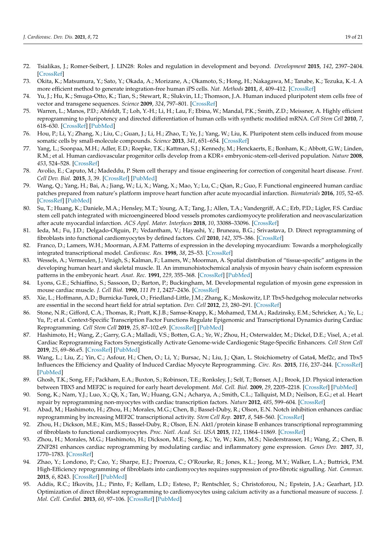- <span id="page-19-24"></span><span id="page-19-0"></span>72. Tsialikas, J.; Romer-Seibert, J. LIN28: Roles and regulation in development and beyond. *Development* **2015**, *142*, 2397–2404. [\[CrossRef\]](http://doi.org/10.1242/dev.117580)
- <span id="page-19-1"></span>73. Okita, K.; Matsumura, Y.; Sato, Y.; Okada, A.; Morizane, A.; Okamoto, S.; Hong, H.; Nakagawa, M.; Tanabe, K.; Tezuka, K.-I. A more efficient method to generate integration-free human iPS cells. *Nat. Methods* **2011**, *8*, 409–412. [\[CrossRef\]](http://doi.org/10.1038/nmeth.1591)
- <span id="page-19-2"></span>74. Yu, J.; Hu, K.; Smuga-Otto, K.; Tian, S.; Stewart, R.; Slukvin, I.I.; Thomson, J.A. Human induced pluripotent stem cells free of vector and transgene sequences. *Science* **2009**, *324*, 797–801. [\[CrossRef\]](http://doi.org/10.1126/science.1172482)
- <span id="page-19-3"></span>75. Warren, L.; Manos, P.D.; Ahfeldt, T.; Loh, Y.-H.; Li, H.; Lau, F.; Ebina, W.; Mandal, P.K.; Smith, Z.D.; Meissner, A. Highly efficient reprogramming to pluripotency and directed differentiation of human cells with synthetic modified mRNA. *Cell Stem Cell* **2010**, *7*, 618–630. [\[CrossRef\]](http://doi.org/10.1016/j.stem.2010.08.012) [\[PubMed\]](http://www.ncbi.nlm.nih.gov/pubmed/20888316)
- <span id="page-19-4"></span>76. Hou, P.; Li, Y.; Zhang, X.; Liu, C.; Guan, J.; Li, H.; Zhao, T.; Ye, J.; Yang, W.; Liu, K. Pluripotent stem cells induced from mouse somatic cells by small-molecule compounds. *Science* **2013**, *341*, 651–654. [\[CrossRef\]](http://doi.org/10.1126/science.1239278)
- <span id="page-19-5"></span>77. Yang, L.; Soonpaa, M.H.; Adler, E.D.; Roepke, T.K.; Kattman, S.J.; Kennedy, M.; Henckaerts, E.; Bonham, K.; Abbott, G.W.; Linden, R.M.; et al. Human cardiovascular progenitor cells develop from a KDR+ embryonic-stem-cell-derived population. *Nature* **2008**, *453*, 524–528. [\[CrossRef\]](http://doi.org/10.1038/nature06894)
- <span id="page-19-6"></span>78. Avolio, E.; Caputo, M.; Madeddu, P. Stem cell therapy and tissue engineering for correction of congenital heart disease. *Front. Cell Dev. Biol.* **2015**, *3*, 39. [\[CrossRef\]](http://doi.org/10.3389/fcell.2015.00039) [\[PubMed\]](http://www.ncbi.nlm.nih.gov/pubmed/26176009)
- <span id="page-19-31"></span><span id="page-19-7"></span>79. Wang, Q.; Yang, H.; Bai, A.; Jiang, W.; Li, X.; Wang, X.; Mao, Y.; Lu, C.; Qian, R.; Guo, F. Functional engineered human cardiac patches prepared from nature's platform improve heart function after acute myocardial infarction. *Biomaterials* **2016**, *105*, 52–65. [\[CrossRef\]](http://doi.org/10.1016/j.biomaterials.2016.07.035) [\[PubMed\]](http://www.ncbi.nlm.nih.gov/pubmed/27509303)
- <span id="page-19-8"></span>80. Su, T.; Huang, K.; Daniele, M.A.; Hensley, M.T.; Young, A.T.; Tang, J.; Allen, T.A.; Vandergriff, A.C.; Erb, P.D.; Ligler, F.S. Cardiac stem cell patch integrated with microengineered blood vessels promotes cardiomyocyte proliferation and neovascularization after acute myocardial infarction. *ACS Appl. Mater. Interfaces* **2018**, *10*, 33088–33096. [\[CrossRef\]](http://doi.org/10.1021/acsami.8b13571)
- <span id="page-19-25"></span><span id="page-19-9"></span>81. Ieda, M.; Fu, J.D.; Delgado-Olguin, P.; Vedantham, V.; Hayashi, Y.; Bruneau, B.G.; Srivastava, D. Direct reprogramming of fibroblasts into functional cardiomyocytes by defined factors. *Cell* **2010**, *142*, 375–386. [\[CrossRef\]](http://doi.org/10.1016/j.cell.2010.07.002)
- <span id="page-19-28"></span><span id="page-19-10"></span>82. Franco, D.; Lamers, W.H.; Moorman, A.F.M. Patterns of expression in the developing myocardium: Towards a morphologically integrated transcriptional model. *Cardiovasc. Res.* **1998**, *38*, 25–53. [\[CrossRef\]](http://doi.org/10.1016/S0008-6363(97)00321-0)
- <span id="page-19-26"></span><span id="page-19-11"></span>83. Wessels, A.; Vermeulen, J.; Virágh, S.; Kalman, F.; Lamers, W.; Moorman, A. Spatial distribution of "tissue-specific" antigens in the developing human heart and skeletal muscle. II. An immunohistochemical analysis of myosin heavy chain isoform expression patterns in the embryonic heart. *Anat. Rec.* **1991**, *229*, 355–368. [\[CrossRef\]](http://doi.org/10.1002/ar.1092290309) [\[PubMed\]](http://www.ncbi.nlm.nih.gov/pubmed/2024777)
- <span id="page-19-27"></span><span id="page-19-12"></span>84. Lyons, G.E.; Schiaffino, S.; Sassoon, D.; Barton, P.; Buckingham, M. Developmental regulation of myosin gene expression in mouse cardiac muscle. *J. Cell Biol.* **1990**, *111 Pt 1*, 2427–2436. [\[CrossRef\]](http://doi.org/10.1083/jcb.111.6.2427)
- <span id="page-19-30"></span><span id="page-19-13"></span>85. Xie, L.; Hoffmann, A.D.; Burnicka-Turek, O.; Friedland-Little, J.M.; Zhang, K.; Moskowitz, I.P. Tbx5-hedgehog molecular networks are essential in the second heart field for atrial septation. *Dev. Cell* **2012**, *23*, 280–291. [\[CrossRef\]](http://doi.org/10.1016/j.devcel.2012.06.006)
- <span id="page-19-29"></span><span id="page-19-14"></span>86. Stone, N.R.; Gifford, C.A.; Thomas, R.; Pratt, K.J.B.; Samse-Knapp, K.; Mohamed, T.M.A.; Radzinsky, E.M.; Schricker, A.; Ye, L.; Yu, P.; et al. Context-Specific Transcription Factor Functions Regulate Epigenomic and Transcriptional Dynamics during Cardiac Reprogramming. *Cell Stem Cell* **2019**, *25*, 87–102.e9. [\[CrossRef\]](http://doi.org/10.1016/j.stem.2019.06.012) [\[PubMed\]](http://www.ncbi.nlm.nih.gov/pubmed/31271750)
- <span id="page-19-15"></span>87. Hashimoto, H.; Wang, Z.; Garry, G.A.; Malladi, V.S.; Botten, G.A.; Ye, W.; Zhou, H.; Osterwalder, M.; Dickel, D.E.; Visel, A.; et al. Cardiac Reprogramming Factors Synergistically Activate Genome-wide Cardiogenic Stage-Specific Enhancers. *Cell Stem Cell* **2019**, *25*, 69–86.e5. [\[CrossRef\]](http://doi.org/10.1016/j.stem.2019.03.022) [\[PubMed\]](http://www.ncbi.nlm.nih.gov/pubmed/31080136)
- <span id="page-19-16"></span>88. Wang, L.; Liu, Z.; Yin, C.; Asfour, H.; Chen, O.; Li, Y.; Bursac, N.; Liu, J.; Qian, L. Stoichiometry of Gata4, Mef2c, and Tbx5 Influences the Efficiency and Quality of Induced Cardiac Myocyte Reprogramming. *Circ. Res.* **2015**, *116*, 237–244. [\[CrossRef\]](http://doi.org/10.1161/CIRCRESAHA.116.305547) [\[PubMed\]](http://www.ncbi.nlm.nih.gov/pubmed/25416133)
- <span id="page-19-17"></span>89. Ghosh, T.K.; Song, F.F.; Packham, E.A.; Buxton, S.; Robinson, T.E.; Ronksley, J.; Self, T.; Bonser, A.J.; Brook, J.D. Physical interaction between TBX5 and MEF2C is required for early heart development. *Mol. Cell. Biol.* **2009**, *29*, 2205–2218. [\[CrossRef\]](http://doi.org/10.1128/MCB.01923-08) [\[PubMed\]](http://www.ncbi.nlm.nih.gov/pubmed/19204083)
- <span id="page-19-18"></span>90. Song, K.; Nam, Y.J.; Luo, X.; Qi, X.; Tan, W.; Huang, G.N.; Acharya, A.; Smith, C.L.; Tallquist, M.D.; Neilson, E.G.; et al. Heart repair by reprogramming non-myocytes with cardiac transcription factors. *Nature* **2012**, *485*, 599–604. [\[CrossRef\]](http://doi.org/10.1038/nature11139)
- <span id="page-19-19"></span>91. Abad, M.; Hashimoto, H.; Zhou, H.; Morales, M.G.; Chen, B.; Bassel-Duby, R.; Olson, E.N. Notch inhibition enhances cardiac reprogramming by increasing MEF2C transcriptional activity. *Stem Cell Rep.* **2017**, *8*, 548–560. [\[CrossRef\]](http://doi.org/10.1016/j.stemcr.2017.01.025)
- <span id="page-19-23"></span>92. Zhou, H.; Dickson, M.E.; Kim, M.S.; Bassel-Duby, R.; Olson, E.N. Akt1/protein kinase B enhances transcriptional reprogramming of fibroblasts to functional cardiomyocytes. *Proc. Natl. Acad. Sci. USA* **2015**, *112*, 11864–11869. [\[CrossRef\]](http://doi.org/10.1073/pnas.1516237112)
- <span id="page-19-20"></span>93. Zhou, H.; Morales, M.G.; Hashimoto, H.; Dickson, M.E.; Song, K.; Ye, W.; Kim, M.S.; Niederstrasser, H.; Wang, Z.; Chen, B. ZNF281 enhances cardiac reprogramming by modulating cardiac and inflammatory gene expression. *Genes Dev.* **2017**, *31*, 1770–1783. [\[CrossRef\]](http://doi.org/10.1101/gad.305482.117)
- <span id="page-19-21"></span>94. Zhao, Y.; Londono, P.; Cao, Y.; Sharpe, E.J.; Proenza, C.; O'Rourke, R.; Jones, K.L.; Jeong, M.Y.; Walker, L.A.; Buttrick, P.M. High-Efficiency reprogramming of fibroblasts into cardiomyocytes requires suppression of pro-fibrotic signalling. *Nat. Commun.* **2015**, *6*, 8243. [\[CrossRef\]](http://doi.org/10.1038/ncomms9243) [\[PubMed\]](http://www.ncbi.nlm.nih.gov/pubmed/26354680)
- <span id="page-19-22"></span>95. Addis, R.C.; Ifkovits, J.L.; Pinto, F.; Kellam, L.D.; Esteso, P.; Rentschler, S.; Christoforou, N.; Epstein, J.A.; Gearhart, J.D. Optimization of direct fibroblast reprogramming to cardiomyocytes using calcium activity as a functional measure of success. *J. Mol. Cell. Cardiol.* **2013**, *60*, 97–106. [\[CrossRef\]](http://doi.org/10.1016/j.yjmcc.2013.04.004) [\[PubMed\]](http://www.ncbi.nlm.nih.gov/pubmed/23591016)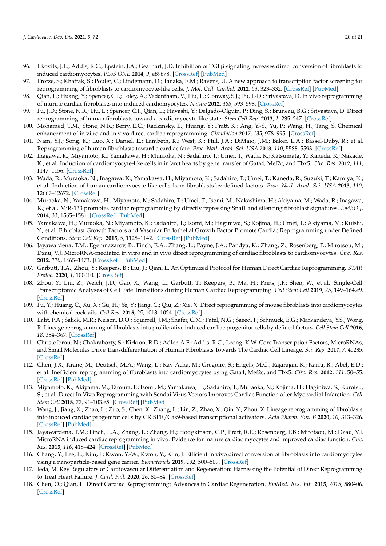- <span id="page-20-12"></span><span id="page-20-11"></span><span id="page-20-9"></span><span id="page-20-8"></span><span id="page-20-7"></span><span id="page-20-6"></span><span id="page-20-5"></span><span id="page-20-4"></span><span id="page-20-3"></span><span id="page-20-2"></span><span id="page-20-0"></span>96. Ifkovits, J.L.; Addis, R.C.; Epstein, J.A.; Gearhart, J.D. Inhibition of TGFβ signaling increases direct conversion of fibroblasts to induced cardiomyocytes. *PLoS ONE* **2014**, *9*, e89678. [\[CrossRef\]](http://doi.org/10.1371/journal.pone.0089678) [\[PubMed\]](http://www.ncbi.nlm.nih.gov/pubmed/24586958)
- <span id="page-20-10"></span><span id="page-20-1"></span>97. Protze, S.; Khattak, S.; Poulet, C.; Lindemann, D.; Tanaka, E.M.; Ravens, U. A new approach to transcription factor screening for reprogramming of fibroblasts to cardiomyocyte-like cells. *J. Mol. Cell. Cardiol.* **2012**, *53*, 323–332. [\[CrossRef\]](http://doi.org/10.1016/j.yjmcc.2012.04.010) [\[PubMed\]](http://www.ncbi.nlm.nih.gov/pubmed/22575762)
- <span id="page-20-24"></span>98. Qian, L.; Huang, Y.; Spencer, C.I.; Foley, A.; Vedantham, V.; Liu, L.; Conway, S.J.; Fu, J.-D.; Srivastava, D. In vivo reprogramming of murine cardiac fibroblasts into induced cardiomyocytes. *Nature* **2012**, *485*, 593–598. [\[CrossRef\]](http://doi.org/10.1038/nature11044)
- <span id="page-20-21"></span><span id="page-20-13"></span>99. Fu, J.D.; Stone, N.R.; Liu, L.; Spencer, C.I.; Qian, L.; Hayashi, Y.; Delgado-Olguin, P.; Ding, S.; Bruneau, B.G.; Srivastava, D. Direct reprogramming of human fibroblasts toward a cardiomyocyte-like state. *Stem Cell Rep.* **2013**, *1*, 235–247. [\[CrossRef\]](http://doi.org/10.1016/j.stemcr.2013.07.005)
- <span id="page-20-14"></span>100. Mohamed, T.M.; Stone, N.R.; Berry, E.C.; Radzinsky, E.; Huang, Y.; Pratt, K.; Ang, Y.-S.; Yu, P.; Wang, H.; Tang, S. Chemical enhancement of in vitro and in vivo direct cardiac reprogramming. *Circulation* **2017**, *135*, 978–995. [\[CrossRef\]](http://doi.org/10.1161/CIRCULATIONAHA.116.024692)
- <span id="page-20-23"></span><span id="page-20-15"></span>101. Nam, Y.J.; Song, K.; Luo, X.; Daniel, E.; Lambeth, K.; West, K.; Hill, J.A.; DiMaio, J.M.; Baker, L.A.; Bassel-Duby, R.; et al. Reprogramming of human fibroblasts toward a cardiac fate. *Proc. Natl. Acad. Sci. USA* **2013**, *110*, 5588–5593. [\[CrossRef\]](http://doi.org/10.1073/pnas.1301019110)
- <span id="page-20-25"></span><span id="page-20-16"></span>102. Inagawa, K.; Miyamoto, K.; Yamakawa, H.; Muraoka, N.; Sadahiro, T.; Umei, T.; Wada, R.; Katsumata, Y.; Kaneda, R.; Nakade, K.; et al. Induction of cardiomyocyte-like cells in infarct hearts by gene transfer of Gata4, Mef2c, and Tbx5. *Circ. Res.* **2012**, *111*, 1147–1156. [\[CrossRef\]](http://doi.org/10.1161/CIRCRESAHA.112.271148)
- <span id="page-20-22"></span><span id="page-20-17"></span>103. Wada, R.; Muraoka, N.; Inagawa, K.; Yamakawa, H.; Miyamoto, K.; Sadahiro, T.; Umei, T.; Kaneda, R.; Suzuki, T.; Kamiya, K.; et al. Induction of human cardiomyocyte-like cells from fibroblasts by defined factors. *Proc. Natl. Acad. Sci. USA* **2013**, *110*, 12667–12672. [\[CrossRef\]](http://doi.org/10.1073/pnas.1304053110)
- <span id="page-20-18"></span>104. Muraoka, N.; Yamakawa, H.; Miyamoto, K.; Sadahiro, T.; Umei, T.; Isomi, M.; Nakashima, H.; Akiyama, M.; Wada, R.; Inagawa, K.; et al. MiR-133 promotes cardiac reprogramming by directly repressing Snai1 and silencing fibroblast signatures. *EMBO J.* **2014**, *33*, 1565–1581. [\[CrossRef\]](http://doi.org/10.15252/embj.201387605) [\[PubMed\]](http://www.ncbi.nlm.nih.gov/pubmed/24920580)
- <span id="page-20-19"></span>105. Yamakawa, H.; Muraoka, N.; Miyamoto, K.; Sadahiro, T.; Isomi, M.; Haginiwa, S.; Kojima, H.; Umei, T.; Akiyama, M.; Kuishi, Y.; et al. Fibroblast Growth Factors and Vascular Endothelial Growth Factor Promote Cardiac Reprogramming under Defined Conditions. *Stem Cell Rep.* **2015**, *5*, 1128–1142. [\[CrossRef\]](http://doi.org/10.1016/j.stemcr.2015.10.019) [\[PubMed\]](http://www.ncbi.nlm.nih.gov/pubmed/26626177)
- <span id="page-20-26"></span><span id="page-20-20"></span>106. Jayawardena, T.M.; Egemnazarov, B.; Finch, E.A.; Zhang, L.; Payne, J.A.; Pandya, K.; Zhang, Z.; Rosenberg, P.; Mirotsou, M.; Dzau, V.J. MicroRNA-mediated in vitro and in vivo direct reprogramming of cardiac fibroblasts to cardiomyocytes. *Circ. Res.* **2012**, *110*, 1465–1473. [\[CrossRef\]](http://doi.org/10.1161/CIRCRESAHA.112.269035) [\[PubMed\]](http://www.ncbi.nlm.nih.gov/pubmed/22539765)
- <span id="page-20-32"></span>107. Garbutt, T.A.; Zhou, Y.; Keepers, B.; Liu, J.; Qian, L. An Optimized Protocol for Human Direct Cardiac Reprogramming. *STAR Protoc.* **2020**, *1*, 100010. [\[CrossRef\]](http://doi.org/10.1016/j.xpro.2019.100010)
- <span id="page-20-33"></span>108. Zhou, Y.; Liu, Z.; Welch, J.D.; Gao, X.; Wang, L.; Garbutt, T.; Keepers, B.; Ma, H.; Prins, J.F.; Shen, W.; et al. Single-Cell Transcriptomic Analyses of Cell Fate Transitions during Human Cardiac Reprogramming. *Cell Stem Cell* **2019**, *25*, 149–164.e9. [\[CrossRef\]](http://doi.org/10.1016/j.stem.2019.05.020)
- <span id="page-20-34"></span>109. Fu, Y.; Huang, C.; Xu, X.; Gu, H.; Ye, Y.; Jiang, C.; Qiu, Z.; Xie, X. Direct reprogramming of mouse fibroblasts into cardiomyocytes with chemical cocktails. *Cell Res.* **2015**, *25*, 1013–1024. [\[CrossRef\]](http://doi.org/10.1038/cr.2015.99)
- 110. Lalit, P.A.; Salick, M.R.; Nelson, D.O.; Squirrell, J.M.; Shafer, C.M.; Patel, N.G.; Saeed, I.; Schmuck, E.G.; Markandeya, Y.S.; Wong, R. Lineage reprogramming of fibroblasts into proliferative induced cardiac progenitor cells by defined factors. *Cell Stem Cell* **2016**, *18*, 354–367. [\[CrossRef\]](http://doi.org/10.1016/j.stem.2015.12.001)
- 111. Christoforou, N.; Chakraborty, S.; Kirkton, R.D.; Adler, A.F.; Addis, R.C.; Leong, K.W. Core Transcription Factors, MicroRNAs, and Small Molecules Drive Transdifferentiation of Human Fibroblasts Towards The Cardiac Cell Lineage. *Sci. Rep.* **2017**, *7*, 40285. [\[CrossRef\]](http://doi.org/10.1038/srep40285)
- 112. Chen, J.X.; Krane, M.; Deutsch, M.A.; Wang, L.; Rav-Acha, M.; Gregoire, S.; Engels, M.C.; Rajarajan, K.; Karra, R.; Abel, E.D.; et al. Inefficient reprogramming of fibroblasts into cardiomyocytes using Gata4, Mef2c, and Tbx5. *Circ. Res.* **2012**, *111*, 50–55. [\[CrossRef\]](http://doi.org/10.1161/CIRCRESAHA.112.270264) [\[PubMed\]](http://www.ncbi.nlm.nih.gov/pubmed/22581928)
- <span id="page-20-28"></span>113. Miyamoto, K.; Akiyama, M.; Tamura, F.; Isomi, M.; Yamakawa, H.; Sadahiro, T.; Muraoka, N.; Kojima, H.; Haginiwa, S.; Kurotsu, S.; et al. Direct In Vivo Reprogramming with Sendai Virus Vectors Improves Cardiac Function after Myocardial Infarction. *Cell Stem Cell* **2018**, *22*, 91–103.e5. [\[CrossRef\]](http://doi.org/10.1016/j.stem.2017.11.010) [\[PubMed\]](http://www.ncbi.nlm.nih.gov/pubmed/29276141)
- <span id="page-20-35"></span>114. Wang, J.; Jiang, X.; Zhao, L.; Zuo, S.; Chen, X.; Zhang, L.; Lin, Z.; Zhao, X.; Qin, Y.; Zhou, X. Lineage reprogramming of fibroblasts into induced cardiac progenitor cells by CRISPR/Cas9-based transcriptional activators. *Acta Pharm. Sin. B* **2020**, *10*, 313–326. [\[CrossRef\]](http://doi.org/10.1016/j.apsb.2019.09.003) [\[PubMed\]](http://www.ncbi.nlm.nih.gov/pubmed/32082976)
- <span id="page-20-27"></span>115. Jayawardena, T.M.; Finch, E.A.; Zhang, L.; Zhang, H.; Hodgkinson, C.P.; Pratt, R.E.; Rosenberg, P.B.; Mirotsou, M.; Dzau, V.J. MicroRNA induced cardiac reprogramming in vivo: Evidence for mature cardiac myocytes and improved cardiac function. *Circ. Res.* **2015**, *116*, 418–424. [\[CrossRef\]](http://doi.org/10.1161/CIRCRESAHA.116.304510) [\[PubMed\]](http://www.ncbi.nlm.nih.gov/pubmed/25351576)
- <span id="page-20-29"></span>116. Chang, Y.; Lee, E.; Kim, J.; Kwon, Y.-W.; Kwon, Y.; Kim, J. Efficient in vivo direct conversion of fibroblasts into cardiomyocytes using a nanoparticle-based gene carrier. *Biomaterials* **2019**, *192*, 500–509. [\[CrossRef\]](http://doi.org/10.1016/j.biomaterials.2018.11.034)
- <span id="page-20-30"></span>117. Ieda, M. Key Regulators of Cardiovascular Differentiation and Regeneration: Harnessing the Potential of Direct Reprogramming to Treat Heart Failure. *J. Card. Fail.* **2020**, *26*, 80–84. [\[CrossRef\]](http://doi.org/10.1016/j.cardfail.2019.09.005)
- <span id="page-20-31"></span>118. Chen, O.; Qian, L. Direct Cardiac Reprogramming: Advances in Cardiac Regeneration. *BioMed. Res. Int.* **2015**, *2015*, 580406. [\[CrossRef\]](http://doi.org/10.1155/2015/580406)